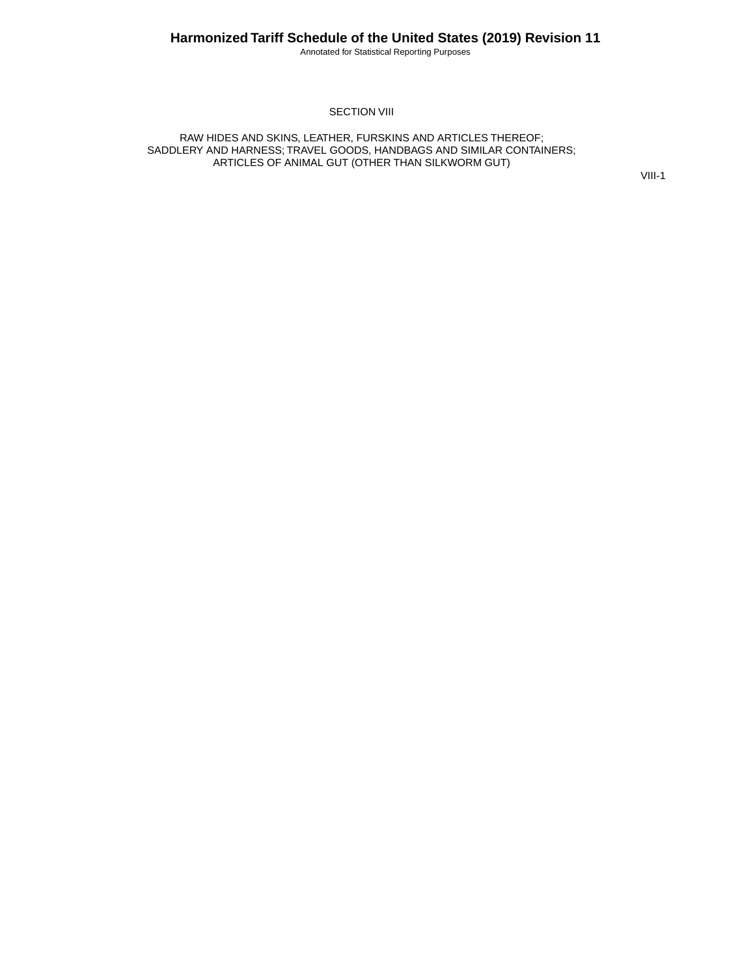Annotated for Statistical Reporting Purposes

#### SECTION VIII

RAW HIDES AND SKINS, LEATHER, FURSKINS AND ARTICLES THEREOF; SADDLERY AND HARNESS; TRAVEL GOODS, HANDBAGS AND SIMILAR CONTAINERS; ARTICLES OF ANIMAL GUT (OTHER THAN SILKWORM GUT)

VIII-1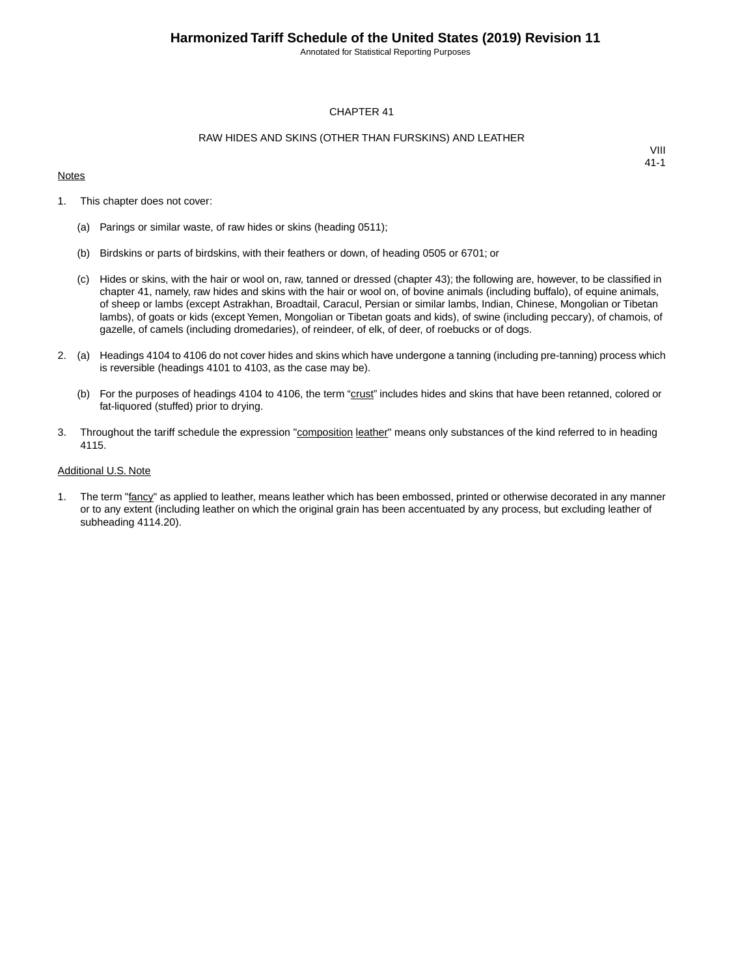Annotated for Statistical Reporting Purposes

#### CHAPTER 41

#### RAW HIDES AND SKINS (OTHER THAN FURSKINS) AND LEATHER

#### **Notes**

VIII 41-1

- 1. This chapter does not cover:
	- (a) Parings or similar waste, of raw hides or skins (heading 0511);
	- (b) Birdskins or parts of birdskins, with their feathers or down, of heading 0505 or 6701; or
	- (c) Hides or skins, with the hair or wool on, raw, tanned or dressed (chapter 43); the following are, however, to be classified in chapter 41, namely, raw hides and skins with the hair or wool on, of bovine animals (including buffalo), of equine animals, of sheep or lambs (except Astrakhan, Broadtail, Caracul, Persian or similar lambs, Indian, Chinese, Mongolian or Tibetan lambs), of goats or kids (except Yemen, Mongolian or Tibetan goats and kids), of swine (including peccary), of chamois, of gazelle, of camels (including dromedaries), of reindeer, of elk, of deer, of roebucks or of dogs.
- 2. (a) Headings 4104 to 4106 do not cover hides and skins which have undergone a tanning (including pre-tanning) process which is reversible (headings 4101 to 4103, as the case may be).
	- (b) For the purposes of headings 4104 to 4106, the term "crust" includes hides and skins that have been retanned, colored or fat-liquored (stuffed) prior to drying.
- 3. Throughout the tariff schedule the expression "composition leather" means only substances of the kind referred to in heading 4115.

#### Additional U.S. Note

1. The term "fancy" as applied to leather, means leather which has been embossed, printed or otherwise decorated in any manner or to any extent (including leather on which the original grain has been accentuated by any process, but excluding leather of subheading 4114.20).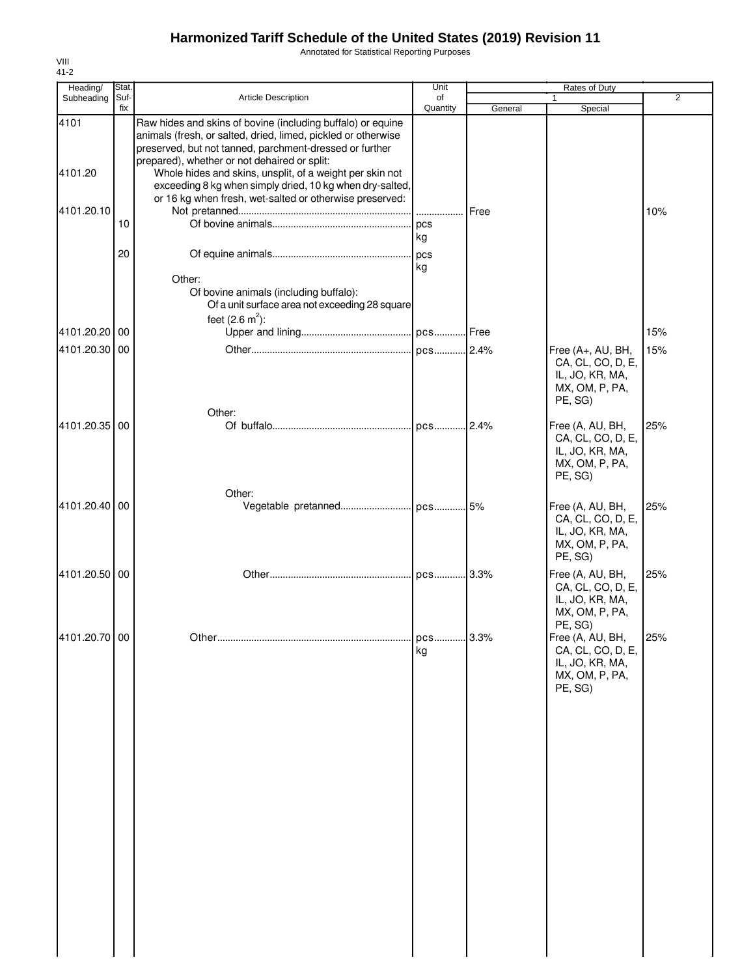Annotated for Statistical Reporting Purposes

| Heading/        | Stat.       |                                                                                                                                                                                                                                                                                                                                                                 | Unit             |         | Rates of Duty                                                                          |                |
|-----------------|-------------|-----------------------------------------------------------------------------------------------------------------------------------------------------------------------------------------------------------------------------------------------------------------------------------------------------------------------------------------------------------------|------------------|---------|----------------------------------------------------------------------------------------|----------------|
| Subheading      | Suf-<br>fix | <b>Article Description</b>                                                                                                                                                                                                                                                                                                                                      | of<br>Quantity   | General | 1<br>Special                                                                           | $\overline{2}$ |
| 4101<br>4101.20 |             | Raw hides and skins of bovine (including buffalo) or equine<br>animals (fresh, or salted, dried, limed, pickled or otherwise<br>preserved, but not tanned, parchment-dressed or further<br>prepared), whether or not dehaired or split:<br>Whole hides and skins, unsplit, of a weight per skin not<br>exceeding 8 kg when simply dried, 10 kg when dry-salted, |                  |         |                                                                                        |                |
| 4101.20.10      | 10          | or 16 kg when fresh, wet-salted or otherwise preserved:                                                                                                                                                                                                                                                                                                         |                  | Free    |                                                                                        | 10%            |
|                 | 20          |                                                                                                                                                                                                                                                                                                                                                                 | kg<br>kg         |         |                                                                                        |                |
|                 |             | Other:<br>Of bovine animals (including buffalo):<br>Of a unit surface area not exceeding 28 square<br>feet $(2.6 \text{ m}^2)$ :                                                                                                                                                                                                                                |                  |         |                                                                                        |                |
| 4101.20.20 00   |             |                                                                                                                                                                                                                                                                                                                                                                 |                  |         |                                                                                        | 15%            |
| 4101.20.30 00   |             | Other:                                                                                                                                                                                                                                                                                                                                                          |                  |         | Free (A+, AU, BH,<br>CA, CL, CO, D, E,<br>IL, JO, KR, MA,<br>MX, OM, P, PA,<br>PE, SG) | 15%            |
| 4101.20.35 00   |             |                                                                                                                                                                                                                                                                                                                                                                 |                  |         | Free (A, AU, BH,<br>CA, CL, CO, D, E,<br>IL, JO, KR, MA,<br>MX, OM, P, PA,<br>PE, SG)  | 25%            |
| 4101.20.40 00   |             | Other:                                                                                                                                                                                                                                                                                                                                                          |                  |         | Free (A, AU, BH,<br>CA, CL, CO, D, E,<br>IL, JO, KR, MA,<br>MX, OM, P, PA,<br>PE, SG)  | 25%            |
| 4101.20.50 00   |             |                                                                                                                                                                                                                                                                                                                                                                 |                  |         | Free (A, AU, BH,<br>CA, CL, CO, D, E,<br>IL, JO, KR, MA,<br>MX, OM, P, PA,<br>PE, SG)  | 25%            |
| 4101.20.70 00   |             |                                                                                                                                                                                                                                                                                                                                                                 | . pcs 3.3%<br>kg |         | Free (A, AU, BH,<br>CA, CL, CO, D, E,<br>IL, JO, KR, MA,<br>MX, OM, P, PA,<br>PE, SG)  | 25%            |
|                 |             |                                                                                                                                                                                                                                                                                                                                                                 |                  |         |                                                                                        |                |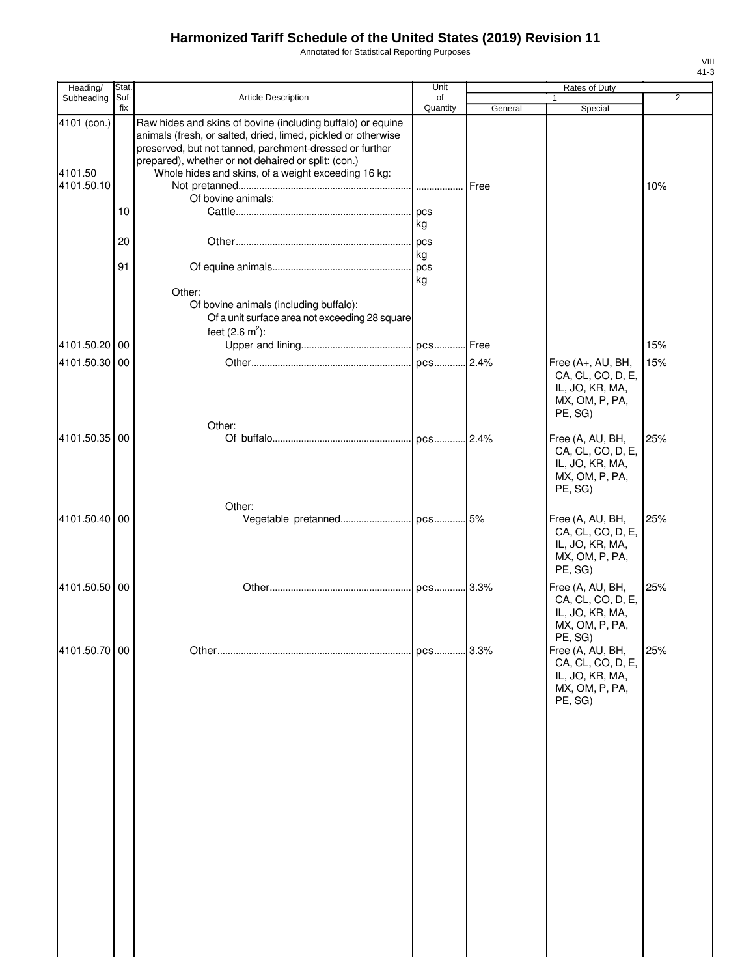Annotated for Statistical Reporting Purposes

| Heading/                             | Stat.       |                                                                                                                                                                                                                                                                                                                             | Unit           |         | <b>Rates of Duty</b>                                                                   |                |
|--------------------------------------|-------------|-----------------------------------------------------------------------------------------------------------------------------------------------------------------------------------------------------------------------------------------------------------------------------------------------------------------------------|----------------|---------|----------------------------------------------------------------------------------------|----------------|
| Subheading                           | Suf-<br>fix | <b>Article Description</b>                                                                                                                                                                                                                                                                                                  | of<br>Quantity | General | Special                                                                                | $\overline{2}$ |
| 4101 (con.)<br>4101.50<br>4101.50.10 |             | Raw hides and skins of bovine (including buffalo) or equine<br>animals (fresh, or salted, dried, limed, pickled or otherwise<br>preserved, but not tanned, parchment-dressed or further<br>prepared), whether or not dehaired or split: (con.)<br>Whole hides and skins, of a weight exceeding 16 kg:<br>Of bovine animals: |                | Free    |                                                                                        | 10%            |
|                                      | 10          |                                                                                                                                                                                                                                                                                                                             | kg             |         |                                                                                        |                |
|                                      | 20<br>91    |                                                                                                                                                                                                                                                                                                                             | kg             |         |                                                                                        |                |
|                                      |             | Other:<br>Of bovine animals (including buffalo):<br>Of a unit surface area not exceeding 28 square<br>feet $(2.6 \text{ m}^2)$ :                                                                                                                                                                                            | kg             |         |                                                                                        |                |
| 4101.50.20 00                        |             |                                                                                                                                                                                                                                                                                                                             |                |         |                                                                                        | 15%            |
| 4101.50.30 00                        |             |                                                                                                                                                                                                                                                                                                                             |                |         | Free (A+, AU, BH,<br>CA, CL, CO, D, E,<br>IL, JO, KR, MA,<br>MX, OM, P, PA,<br>PE, SG) | 15%            |
| 4101.50.35 00                        |             | Other:                                                                                                                                                                                                                                                                                                                      |                |         | Free (A, AU, BH,<br>CA, CL, CO, D, E,<br>IL, JO, KR, MA,<br>MX, OM, P, PA,<br>PE, SG)  | 25%            |
| 4101.50.40 00                        |             | Other:                                                                                                                                                                                                                                                                                                                      |                |         | Free (A, AU, BH,<br>CA, CL, CO, D, E,<br>IL, JO, KR, MA,<br>MX, OM, P, PA,<br>PE, SG)  | 25%            |
| 4101.50.50 00                        |             |                                                                                                                                                                                                                                                                                                                             |                | .3.3%   | Free (A, AU, BH,<br>CA, CL, CO, D, E,<br>IL, JO, KR, MA,<br>MX, OM, P, PA,<br>PE, SG)  | 25%            |
| 4101.50.70 00                        |             |                                                                                                                                                                                                                                                                                                                             | pcs 3.3%       |         | Free (A, AU, BH,<br>CA, CL, CO, D, E,<br>IL, JO, KR, MA,<br>MX, OM, P, PA,<br>PE, SG)  | 25%            |
|                                      |             |                                                                                                                                                                                                                                                                                                                             |                |         |                                                                                        |                |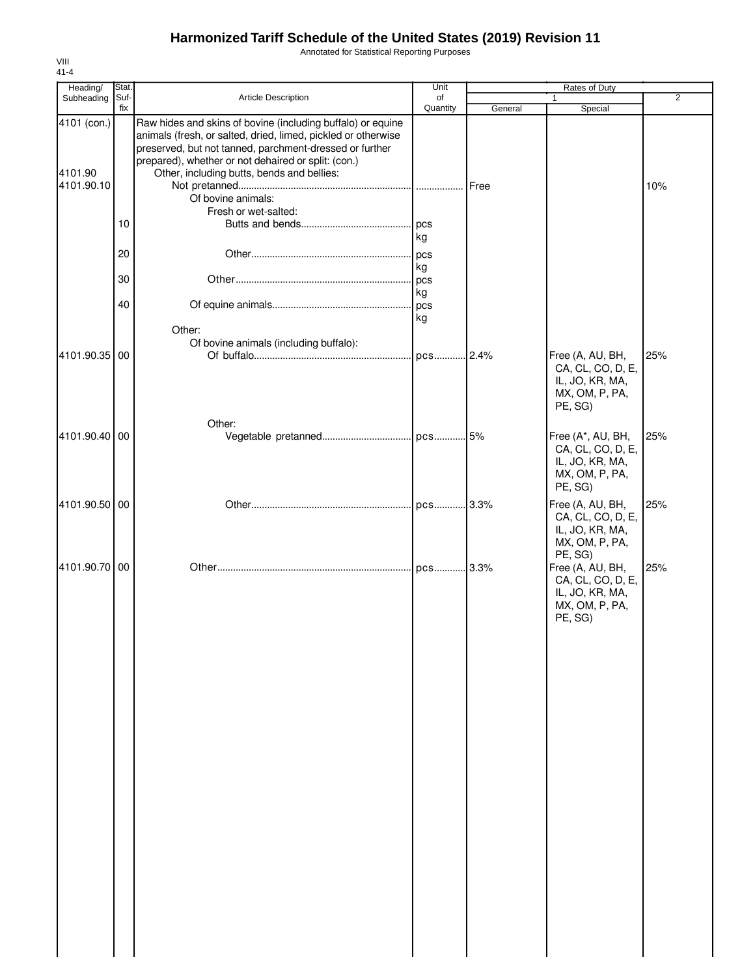Annotated for Statistical Reporting Purposes

| Stat.         |                                                                                                                                                                                                                                                                                              | Unit                                   |                                     | Rates of Duty                                                                                    |                    |
|---------------|----------------------------------------------------------------------------------------------------------------------------------------------------------------------------------------------------------------------------------------------------------------------------------------------|----------------------------------------|-------------------------------------|--------------------------------------------------------------------------------------------------|--------------------|
| Suf-          | <b>Article Description</b>                                                                                                                                                                                                                                                                   | of                                     |                                     |                                                                                                  | $\overline{2}$     |
| 4101 (con.)   | Raw hides and skins of bovine (including buffalo) or equine<br>animals (fresh, or salted, dried, limed, pickled or otherwise<br>preserved, but not tanned, parchment-dressed or further<br>prepared), whether or not dehaired or split: (con.)<br>Other, including butts, bends and bellies: |                                        |                                     |                                                                                                  |                    |
| 10            | Of bovine animals:<br>Fresh or wet-salted:                                                                                                                                                                                                                                                   | pcs                                    |                                     |                                                                                                  | 10%                |
| 20            |                                                                                                                                                                                                                                                                                              | pcs                                    |                                     |                                                                                                  |                    |
| 30            |                                                                                                                                                                                                                                                                                              | pcs                                    |                                     |                                                                                                  |                    |
| 40            | Other:                                                                                                                                                                                                                                                                                       | kg                                     |                                     |                                                                                                  |                    |
| 4101.90.35 00 |                                                                                                                                                                                                                                                                                              | pcs                                    |                                     | Free (A, AU, BH,<br>CA, CL, CO, D, E,<br>IL, JO, KR, MA,<br>MX, OM, P, PA,<br>PE, SG)            | 25%                |
| 4101.90.40 00 | Other:                                                                                                                                                                                                                                                                                       |                                        |                                     | Free (A*, AU, BH,<br>CA, CL, CO, D, E,<br>IL, JO, KR, MA,<br>MX, OM, P, PA,                      | 25%                |
| 4101.90.50 00 |                                                                                                                                                                                                                                                                                              |                                        |                                     | Free (A, AU, BH,<br>CA, CL, CO, D, E,<br>IL, JO, KR, MA,<br>MX, OM, P, PA,                       | 25%                |
| 4101.90.70 00 |                                                                                                                                                                                                                                                                                              |                                        |                                     | PE, SG)<br>Free (A, AU, BH,<br>CA, CL, CO, D, E,<br>IL, JO, KR, MA,<br>MX, OM, P, PA,<br>PE, SG) | 25%                |
| 4101.90.10    | fix                                                                                                                                                                                                                                                                                          | Of bovine animals (including buffalo): | Quantity<br>kg<br>kg<br>kg<br>. pcs | General<br>Free<br>.2.4%                                                                         | Special<br>PE, SG) |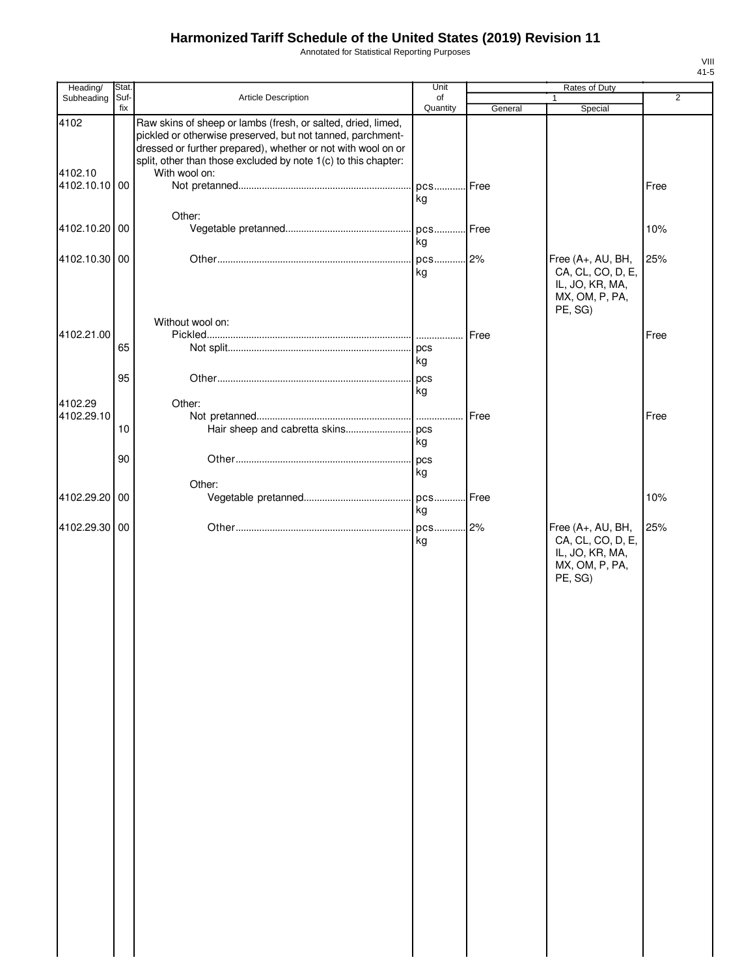Annotated for Statistical Reporting Purposes

| Heading/                 | Stat. |                                                                                                                                                                                            | Unit         |         | Rates of Duty                                                                          |                |
|--------------------------|-------|--------------------------------------------------------------------------------------------------------------------------------------------------------------------------------------------|--------------|---------|----------------------------------------------------------------------------------------|----------------|
| Subheading               | Suf-  | Article Description                                                                                                                                                                        | of           |         |                                                                                        | $\overline{2}$ |
| 4102                     | fix   | Raw skins of sheep or lambs (fresh, or salted, dried, limed,<br>pickled or otherwise preserved, but not tanned, parchment-<br>dressed or further prepared), whether or not with wool on or | Quantity     | General | Special                                                                                |                |
| 4102.10<br>4102.10.10 00 |       | split, other than those excluded by note 1(c) to this chapter:<br>With wool on:                                                                                                            | pcs          | Free    |                                                                                        | Free           |
|                          |       |                                                                                                                                                                                            | kg           |         |                                                                                        |                |
| 4102.10.20               | 00    | Other:                                                                                                                                                                                     | pcs<br>kg    | Free    |                                                                                        | 10%            |
| 4102.10.30 00            |       |                                                                                                                                                                                            | pcs 2%<br>kg |         | Free (A+, AU, BH,<br>CA, CL, CO, D, E,<br>IL, JO, KR, MA,<br>MX, OM, P, PA,<br>PE, SG) | 25%            |
|                          |       | Without wool on:                                                                                                                                                                           |              |         |                                                                                        |                |
| 4102.21.00               |       |                                                                                                                                                                                            |              | Free    |                                                                                        | Free           |
|                          | 65    |                                                                                                                                                                                            | kg           |         |                                                                                        |                |
|                          | 95    |                                                                                                                                                                                            | pcs          |         |                                                                                        |                |
|                          |       |                                                                                                                                                                                            | kg           |         |                                                                                        |                |
| 4102.29<br>4102.29.10    |       | Other:                                                                                                                                                                                     |              | Free    |                                                                                        | Free           |
|                          | 10    |                                                                                                                                                                                            |              |         |                                                                                        |                |
|                          |       |                                                                                                                                                                                            | kg           |         |                                                                                        |                |
|                          | 90    |                                                                                                                                                                                            | pcs<br>kg    |         |                                                                                        |                |
| 4102.29.20 00            |       | Other:                                                                                                                                                                                     | pcs          | Free    |                                                                                        | 10%            |
|                          |       |                                                                                                                                                                                            | kg           |         |                                                                                        |                |
| 4102.29.30 00            |       |                                                                                                                                                                                            | pcs<br>kg    | 2%      | Free (A+, AU, BH,<br>CA, CL, CO, D, E,<br>IL, JO, KR, MA,<br>MX, OM, P, PA,<br>PE, SG) | 25%            |
|                          |       |                                                                                                                                                                                            |              |         |                                                                                        |                |
|                          |       |                                                                                                                                                                                            |              |         |                                                                                        |                |
|                          |       |                                                                                                                                                                                            |              |         |                                                                                        |                |
|                          |       |                                                                                                                                                                                            |              |         |                                                                                        |                |
|                          |       |                                                                                                                                                                                            |              |         |                                                                                        |                |
|                          |       |                                                                                                                                                                                            |              |         |                                                                                        |                |
|                          |       |                                                                                                                                                                                            |              |         |                                                                                        |                |
|                          |       |                                                                                                                                                                                            |              |         |                                                                                        |                |
|                          |       |                                                                                                                                                                                            |              |         |                                                                                        |                |
|                          |       |                                                                                                                                                                                            |              |         |                                                                                        |                |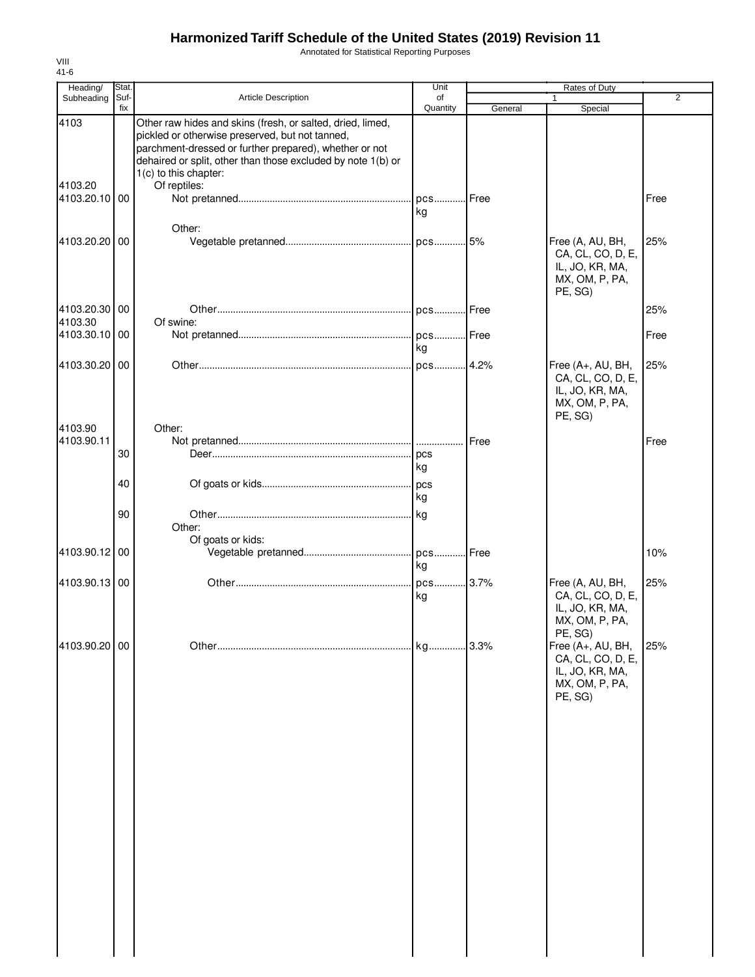Annotated for Statistical Reporting Purposes

| Heading/      | Stat. |                                                                                                                                                                                                                                                                  | Unit       |               | Rates of Duty                                                                         |                |
|---------------|-------|------------------------------------------------------------------------------------------------------------------------------------------------------------------------------------------------------------------------------------------------------------------|------------|---------------|---------------------------------------------------------------------------------------|----------------|
| Subheading    | Suf-  | <b>Article Description</b>                                                                                                                                                                                                                                       | of         |               |                                                                                       | $\overline{2}$ |
|               | fix   |                                                                                                                                                                                                                                                                  | Quantity   | General       | Special                                                                               |                |
| 4103          |       | Other raw hides and skins (fresh, or salted, dried, limed,<br>pickled or otherwise preserved, but not tanned,<br>parchment-dressed or further prepared), whether or not<br>dehaired or split, other than those excluded by note 1(b) or<br>1(c) to this chapter: |            |               |                                                                                       |                |
| 4103.20       |       | Of reptiles:                                                                                                                                                                                                                                                     |            |               |                                                                                       |                |
| 4103.20.10 00 |       |                                                                                                                                                                                                                                                                  | pcs<br>kg  | <b>I</b> Free |                                                                                       | Free           |
|               |       | Other:                                                                                                                                                                                                                                                           |            |               |                                                                                       |                |
| 4103.20.20 00 |       |                                                                                                                                                                                                                                                                  |            |               | Free (A, AU, BH,<br>CA, CL, CO, D, E,<br>IL, JO, KR, MA,<br>MX, OM, P, PA,<br>PE, SG) | 25%            |
| 4103.20.30 00 |       |                                                                                                                                                                                                                                                                  |            |               |                                                                                       | 25%            |
| 4103.30       |       | Of swine:                                                                                                                                                                                                                                                        |            |               |                                                                                       |                |
| 4103.30.10 00 |       |                                                                                                                                                                                                                                                                  | . pcs Free |               |                                                                                       | Free           |
|               |       |                                                                                                                                                                                                                                                                  | kg         |               |                                                                                       |                |
| 4103.30.20 00 |       |                                                                                                                                                                                                                                                                  | pcs 4.2%   |               | Free (A+, AU, BH,                                                                     | 25%            |
| 4103.90       |       | Other:                                                                                                                                                                                                                                                           |            |               | CA, CL, CO, D, E,<br>IL, JO, KR, MA,<br>MX, OM, P, PA,<br>PE, SG)                     |                |
| 4103.90.11    |       |                                                                                                                                                                                                                                                                  |            | Free          |                                                                                       | Free           |
|               | 30    |                                                                                                                                                                                                                                                                  |            |               |                                                                                       |                |
|               |       |                                                                                                                                                                                                                                                                  | kg         |               |                                                                                       |                |
|               |       |                                                                                                                                                                                                                                                                  |            |               |                                                                                       |                |
|               | 40    |                                                                                                                                                                                                                                                                  |            |               |                                                                                       |                |
|               |       |                                                                                                                                                                                                                                                                  | kg         |               |                                                                                       |                |
|               | 90    |                                                                                                                                                                                                                                                                  | kg         |               |                                                                                       |                |
|               |       | Other:                                                                                                                                                                                                                                                           |            |               |                                                                                       |                |
|               |       | Of goats or kids:                                                                                                                                                                                                                                                |            |               |                                                                                       |                |
| 4103.90.12    | 00    |                                                                                                                                                                                                                                                                  | . pcs      | Free          |                                                                                       | 10%            |
|               |       |                                                                                                                                                                                                                                                                  | kg         |               |                                                                                       |                |
| 4103.90.13 00 |       |                                                                                                                                                                                                                                                                  | pcs 3.7%   |               | Free (A, AU, BH,                                                                      | 25%            |
|               |       |                                                                                                                                                                                                                                                                  | kg         |               | CA, CL, CO, D, E,<br>IL, JO, KR, MA,<br>MX, OM, P, PA,<br>PE, SG)                     |                |
| 4103.90.20 00 |       |                                                                                                                                                                                                                                                                  | kg         | .3.3%         | Free (A+, AU, BH,                                                                     | 25%            |
|               |       |                                                                                                                                                                                                                                                                  |            |               | CA, CL, CO, D, E,<br>IL, JO, KR, MA,<br>MX, OM, P, PA,<br>PE, SG)                     |                |
|               |       |                                                                                                                                                                                                                                                                  |            |               |                                                                                       |                |
|               |       |                                                                                                                                                                                                                                                                  |            |               |                                                                                       |                |
|               |       |                                                                                                                                                                                                                                                                  |            |               |                                                                                       |                |
|               |       |                                                                                                                                                                                                                                                                  |            |               |                                                                                       |                |
|               |       |                                                                                                                                                                                                                                                                  |            |               |                                                                                       |                |
|               |       |                                                                                                                                                                                                                                                                  |            |               |                                                                                       |                |
|               |       |                                                                                                                                                                                                                                                                  |            |               |                                                                                       |                |
|               |       |                                                                                                                                                                                                                                                                  |            |               |                                                                                       |                |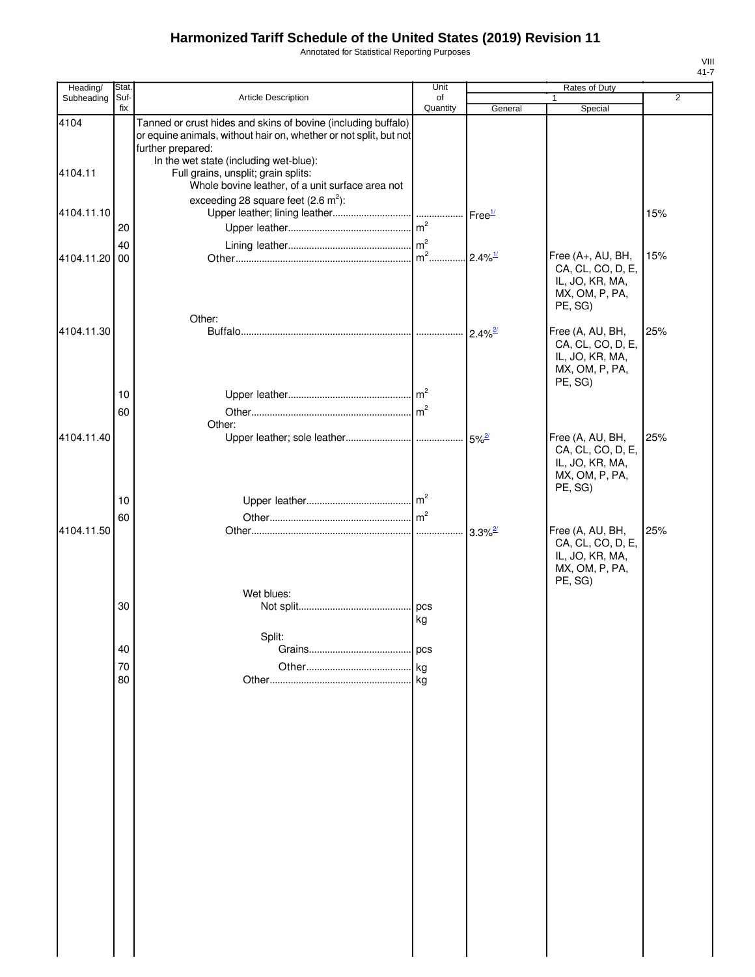Annotated for Statistical Reporting Purposes

| Heading/   | Stat.          |                                                                                                                                                                                                   | Unit           |                       | <b>Rates of Duty</b>                                                                   |     |
|------------|----------------|---------------------------------------------------------------------------------------------------------------------------------------------------------------------------------------------------|----------------|-----------------------|----------------------------------------------------------------------------------------|-----|
| Subheading | Suf-<br>fix    | <b>Article Description</b>                                                                                                                                                                        | of<br>Quantity | General               | $\mathbf{1}$<br>Special                                                                | 2   |
| 4104       |                | Tanned or crust hides and skins of bovine (including buffalo)<br>or equine animals, without hair on, whether or not split, but not<br>further prepared:<br>In the wet state (including wet-blue): |                |                       |                                                                                        |     |
| 4104.11    |                | Full grains, unsplit; grain splits:<br>Whole bovine leather, of a unit surface area not                                                                                                           |                |                       |                                                                                        |     |
| 4104.11.10 | 20             | exceeding 28 square feet $(2.6 \text{ m}^2)$ :                                                                                                                                                    |                |                       |                                                                                        | 15% |
| 4104.11.20 | 40<br>00       |                                                                                                                                                                                                   |                | $2.4\%$ <sup>1/</sup> | Free (A+, AU, BH,<br>CA, CL, CO, D, E,<br>IL, JO, KR, MA,<br>MX, OM, P, PA,<br>PE, SG) | 15% |
| 4104.11.30 | 10             | Other:                                                                                                                                                                                            |                | $2.4\%$ <sup>2/</sup> | Free (A, AU, BH,<br>CA, CL, CO, D, E,<br>IL, JO, KR, MA,<br>MX, OM, P, PA,<br>PE, SG)  | 25% |
| 4104.11.40 | 60             | Other:                                                                                                                                                                                            |                |                       | Free (A, AU, BH,                                                                       | 25% |
|            | 10             |                                                                                                                                                                                                   |                |                       | CA, CL, CO, D, E,<br>IL, JO, KR, MA,<br>MX, OM, P, PA,<br>PE, SG)                      |     |
| 4104.11.50 | 60             |                                                                                                                                                                                                   |                | $3.3\%$ <sup>2/</sup> | Free (A, AU, BH,<br>CA, CL, CO, D, E,<br>IL, JO, KR, MA,<br>MX, OM, P, PA,<br>PE, SG)  | 25% |
|            | 30             | Wet blues:                                                                                                                                                                                        | pcs<br>kg      |                       |                                                                                        |     |
|            | 40<br>70<br>80 | Split:                                                                                                                                                                                            | pcs            |                       |                                                                                        |     |
|            |                |                                                                                                                                                                                                   |                |                       |                                                                                        |     |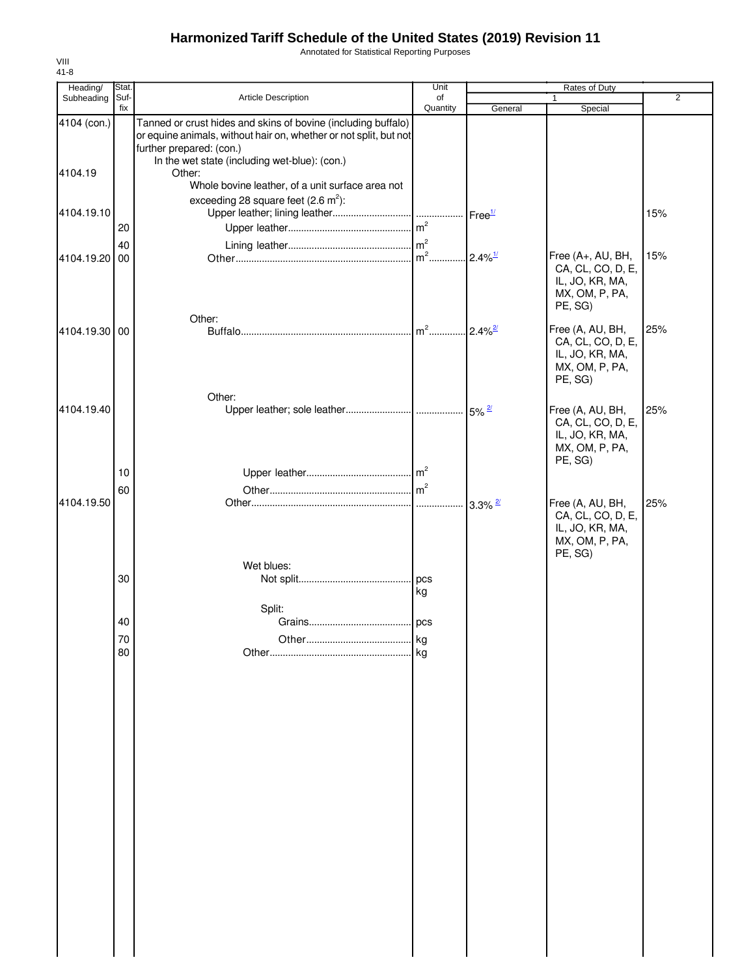Annotated for Statistical Reporting Purposes

| Heading/      | Stat.    |                                                                                                                                    | Unit     |                        | Rates of Duty                                                                          |                |
|---------------|----------|------------------------------------------------------------------------------------------------------------------------------------|----------|------------------------|----------------------------------------------------------------------------------------|----------------|
| Subheading    | Suf-     | <b>Article Description</b>                                                                                                         | of       |                        | 1                                                                                      | $\overline{2}$ |
| 4104 (con.)   | fix      | Tanned or crust hides and skins of bovine (including buffalo)<br>or equine animals, without hair on, whether or not split, but not | Quantity | General                | Special                                                                                |                |
|               |          | further prepared: (con.)<br>In the wet state (including wet-blue): (con.)                                                          |          |                        |                                                                                        |                |
| 4104.19       |          | Other:<br>Whole bovine leather, of a unit surface area not                                                                         |          |                        |                                                                                        |                |
| 4104.19.10    |          | exceeding 28 square feet $(2.6 \text{ m}^2)$ :                                                                                     |          |                        |                                                                                        | 15%            |
|               | 20       |                                                                                                                                    |          |                        |                                                                                        |                |
| 4104.19.20    | 40<br>00 |                                                                                                                                    |          | $.2.4\%$ <sup>1/</sup> | Free (A+, AU, BH,<br>CA, CL, CO, D, E,<br>IL, JO, KR, MA,<br>MX, OM, P, PA,<br>PE, SG) | 15%            |
|               |          | Other:                                                                                                                             |          |                        |                                                                                        |                |
| 4104.19.30 00 |          |                                                                                                                                    | $m2$     | $2.4\%$ <sup>2/</sup>  | Free (A, AU, BH,<br>CA, CL, CO, D, E,<br>IL, JO, KR, MA,<br>MX, OM, P, PA,<br>PE, SG)  | 25%            |
| 4104.19.40    |          | Other:                                                                                                                             |          |                        | Free (A, AU, BH,<br>CA, CL, CO, D, E,                                                  | 25%            |
|               | 10       |                                                                                                                                    |          |                        | IL, JO, KR, MA,<br>MX, OM, P, PA,<br>PE, SG)                                           |                |
|               |          |                                                                                                                                    |          |                        |                                                                                        |                |
| 4104.19.50    | 60       |                                                                                                                                    |          |                        | Free (A, AU, BH,<br>CA, CL, CO, D, E,<br>IL, JO, KR, MA,<br>MX, OM, P, PA,<br>PE, SG)  | 25%            |
|               |          | Wet blues:                                                                                                                         |          |                        |                                                                                        |                |
|               | 30       |                                                                                                                                    | kg       |                        |                                                                                        |                |
|               |          | Split:                                                                                                                             |          |                        |                                                                                        |                |
|               | 40       |                                                                                                                                    | . pcs    |                        |                                                                                        |                |
|               | 70<br>80 |                                                                                                                                    | kg<br>kg |                        |                                                                                        |                |
|               |          |                                                                                                                                    |          |                        |                                                                                        |                |
|               |          |                                                                                                                                    |          |                        |                                                                                        |                |
|               |          |                                                                                                                                    |          |                        |                                                                                        |                |
|               |          |                                                                                                                                    |          |                        |                                                                                        |                |
|               |          |                                                                                                                                    |          |                        |                                                                                        |                |
|               |          |                                                                                                                                    |          |                        |                                                                                        |                |
|               |          |                                                                                                                                    |          |                        |                                                                                        |                |
|               |          |                                                                                                                                    |          |                        |                                                                                        |                |
|               |          |                                                                                                                                    |          |                        |                                                                                        |                |
|               |          |                                                                                                                                    |          |                        |                                                                                        |                |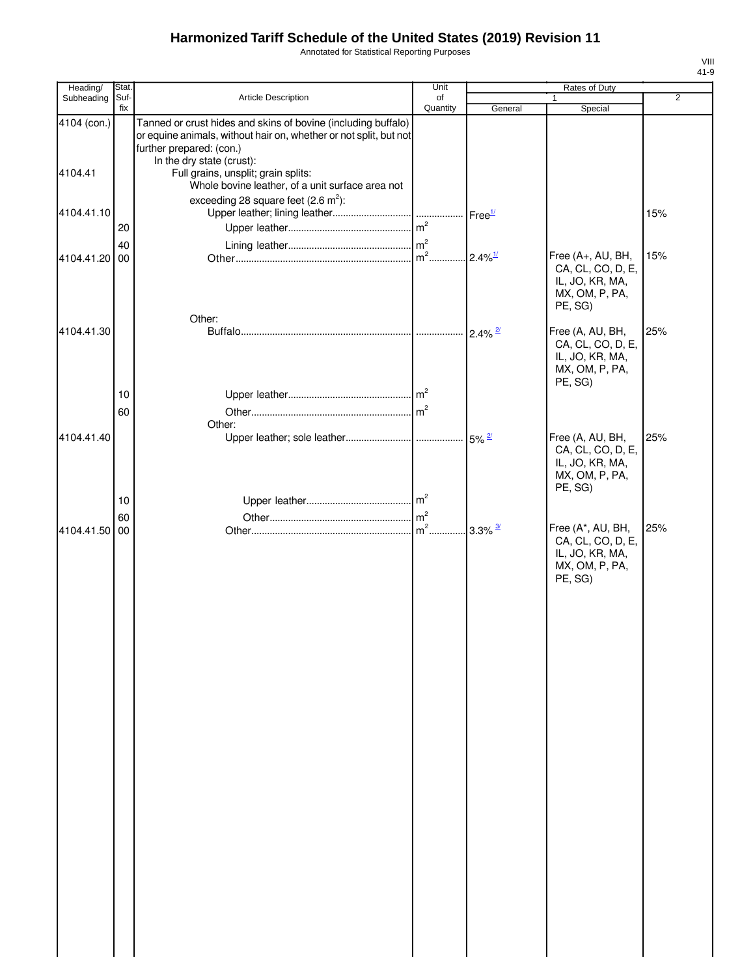Annotated for Statistical Reporting Purposes

| Heading/               | Stat.       |                                                                                                                                                                                                                                                                                        | Unit           |                       | Rates of Duty                                                                          |                |
|------------------------|-------------|----------------------------------------------------------------------------------------------------------------------------------------------------------------------------------------------------------------------------------------------------------------------------------------|----------------|-----------------------|----------------------------------------------------------------------------------------|----------------|
| Subheading             | Suf-<br>fix | Article Description                                                                                                                                                                                                                                                                    | of<br>Quantity | General               | $\mathbf{1}$<br>Special                                                                | $\overline{2}$ |
| 4104 (con.)<br>4104.41 |             | Tanned or crust hides and skins of bovine (including buffalo)<br>or equine animals, without hair on, whether or not split, but not<br>further prepared: (con.)<br>In the dry state (crust):<br>Full grains, unsplit; grain splits:<br>Whole bovine leather, of a unit surface area not |                |                       |                                                                                        |                |
| 4104.41.10             | 20          | exceeding 28 square feet $(2.6 \text{ m}^2)$ :                                                                                                                                                                                                                                         | m <sup>2</sup> | Free <sup>1/</sup>    |                                                                                        | 15%            |
| 4104.41.20             | 40<br>00    |                                                                                                                                                                                                                                                                                        | $m2$           | $2.4\%$ <sup>1/</sup> | Free (A+, AU, BH,<br>CA, CL, CO, D, E,<br>IL, JO, KR, MA,<br>MX, OM, P, PA,<br>PE, SG) | 15%            |
| 4104.41.30             | 10          | Other:                                                                                                                                                                                                                                                                                 |                | $2.4\%$ <sup>2/</sup> | Free (A, AU, BH,<br>CA, CL, CO, D, E,<br>IL, JO, KR, MA,<br>MX, OM, P, PA,<br>PE, SG)  | 25%            |
| 4104.41.40             | 60          | Other:                                                                                                                                                                                                                                                                                 |                |                       | Free (A, AU, BH,<br>CA, CL, CO, D, E,<br>IL, JO, KR, MA,<br>MX, OM, P, PA,             | 25%            |
|                        | 10<br>60    |                                                                                                                                                                                                                                                                                        | $m2$ .         |                       | PE, SG)<br>Free (A*, AU, BH,                                                           | 25%            |
| 4104.41.50             | 00          |                                                                                                                                                                                                                                                                                        |                | $3.3\%$ $\frac{3}{4}$ | CA, CL, CO, D, E,<br>IL, JO, KR, MA,<br>MX, OM, P, PA,<br>PE, SG)                      |                |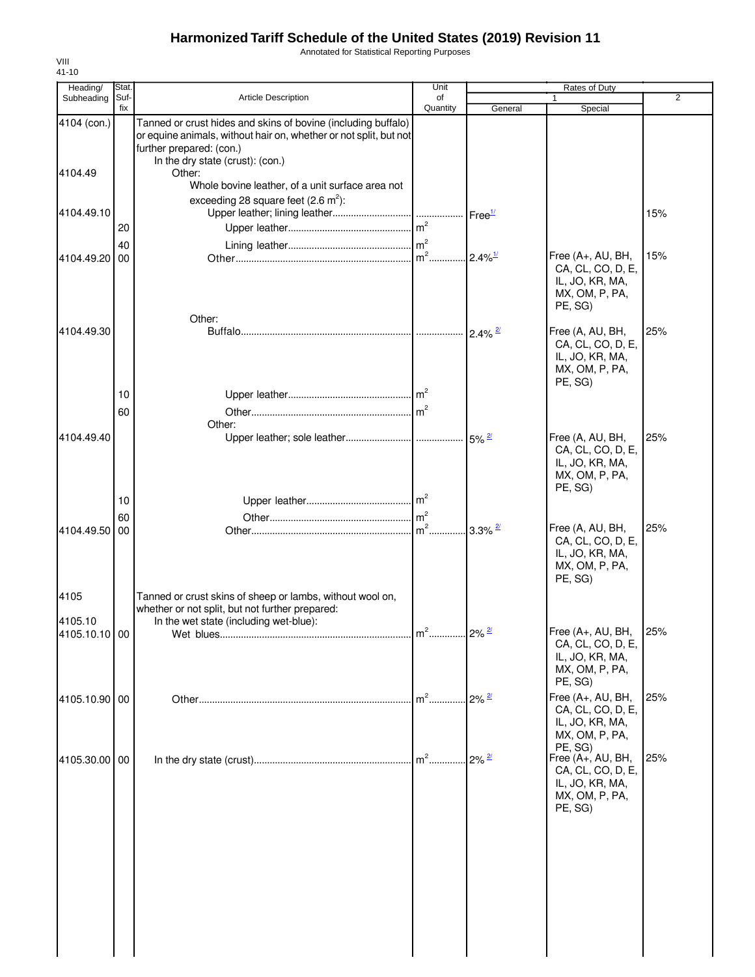Annotated for Statistical Reporting Purposes

| Heading/               | Stat.       |                                                                                                                                                                                                              | Unit                      |                       | Rates of Duty                                                                                     |                |
|------------------------|-------------|--------------------------------------------------------------------------------------------------------------------------------------------------------------------------------------------------------------|---------------------------|-----------------------|---------------------------------------------------------------------------------------------------|----------------|
| Subheading             | Suf-<br>fix | <b>Article Description</b>                                                                                                                                                                                   | of<br>Quantity            | General               | Special                                                                                           | $\overline{2}$ |
| 4104 (con.)<br>4104.49 |             | Tanned or crust hides and skins of bovine (including buffalo)<br>or equine animals, without hair on, whether or not split, but not<br>further prepared: (con.)<br>In the dry state (crust): (con.)<br>Other: |                           |                       |                                                                                                   |                |
|                        |             | Whole bovine leather, of a unit surface area not<br>exceeding 28 square feet $(2.6 \text{ m}^2)$ :                                                                                                           |                           |                       |                                                                                                   |                |
| 4104.49.10             | 20          |                                                                                                                                                                                                              | m <sup>2</sup>            | Free <sup>1/</sup>    |                                                                                                   | 15%            |
| 4104.49.20             | 40<br>00    |                                                                                                                                                                                                              | $\text{Im}^2$             | $2.4\%$ <sup>1/</sup> | Free (A+, AU, BH,<br>CA, CL, CO, D, E,<br>IL, JO, KR, MA,<br>MX, OM, P, PA,<br>PE, SG)            | 15%            |
| 4104.49.30             |             | Other:                                                                                                                                                                                                       |                           | $2.4\%$ <sup>2/</sup> | Free (A, AU, BH,<br>CA, CL, CO, D, E,<br>IL, JO, KR, MA,<br>MX, OM, P, PA,                        | 25%            |
|                        | 10<br>60    | Other:                                                                                                                                                                                                       | $\mathsf{Im}^2$           |                       | PE, SG)                                                                                           |                |
| 4104.49.40             | 10          |                                                                                                                                                                                                              |                           |                       | Free (A, AU, BH,<br>CA, CL, CO, D, E,<br>IL, JO, KR, MA,<br>MX, OM, P, PA,<br>PE, SG)             | 25%            |
| 4104.49.50             | 60<br>00    |                                                                                                                                                                                                              | $\mathsf{Im}^2$<br>$m2$ . | $3.3\%$ <sup>2/</sup> | Free (A, AU, BH,<br>CA, CL, CO, D, E,<br>IL, JO, KR, MA,<br>MX, OM, P, PA,<br>PE, SG)             | 25%            |
| 4105<br>4105.10        |             | Tanned or crust skins of sheep or lambs, without wool on,<br>whether or not split, but not further prepared:<br>In the wet state (including wet-blue):                                                       |                           |                       |                                                                                                   |                |
| 4105.10.10 00          |             |                                                                                                                                                                                                              |                           |                       | Free (A+, AU, BH,<br>CA, CL, CO, D, E,<br>IL, JO, KR, MA,<br>MX, OM, P, PA,<br>PE, SG)            | 25%            |
| 4105.10.90 00          |             |                                                                                                                                                                                                              | $m2$                      | $2\%$ $\frac{2}{2}$   | Free (A+, AU, BH,<br>CA, CL, CO, D, E,<br>IL, JO, KR, MA,<br>MX, OM, P, PA,                       | 25%            |
| 4105.30.00 00          |             |                                                                                                                                                                                                              | $m2$                      | $2\%$ <sup>2/</sup>   | PE, SG)<br>Free (A+, AU, BH,<br>CA, CL, CO, D, E,<br>IL, JO, KR, MA,<br>MX, OM, P, PA,<br>PE, SG) | 25%            |
|                        |             |                                                                                                                                                                                                              |                           |                       |                                                                                                   |                |
|                        |             |                                                                                                                                                                                                              |                           |                       |                                                                                                   |                |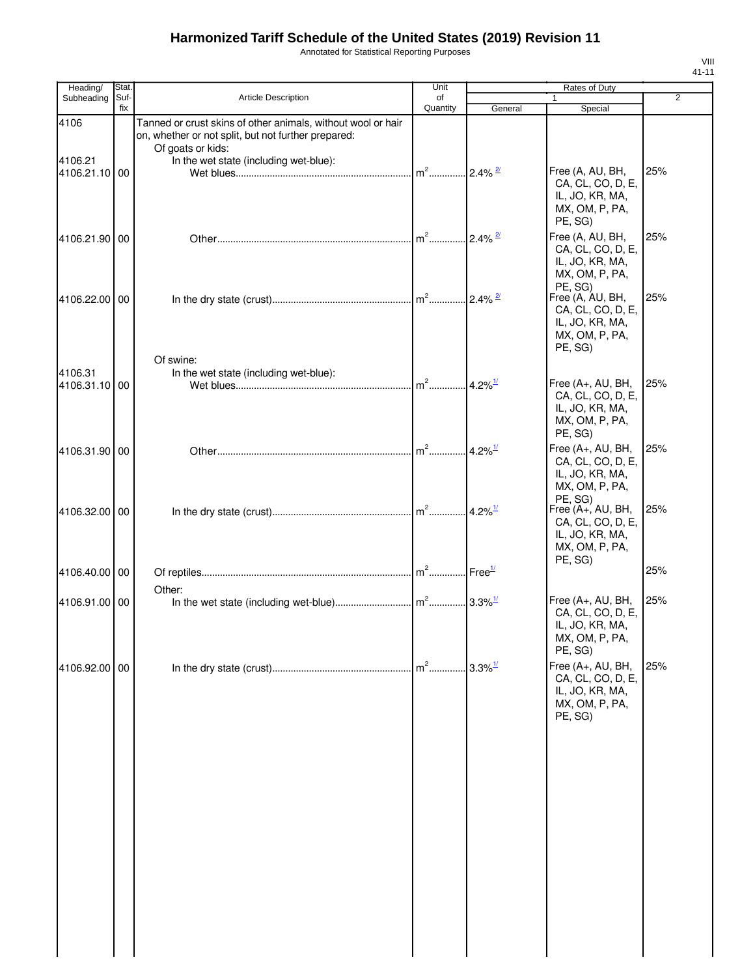Annotated for Statistical Reporting Purposes

| Heading/                      | Stat.       |                                                                                                                                                                                    | Unit                              |                        | Rates of Duty                                                                          |                |
|-------------------------------|-------------|------------------------------------------------------------------------------------------------------------------------------------------------------------------------------------|-----------------------------------|------------------------|----------------------------------------------------------------------------------------|----------------|
| Subheading                    | Suf-<br>fix | <b>Article Description</b>                                                                                                                                                         | of<br>Quantity                    | General                | $\mathbf{1}$<br>Special                                                                | $\overline{2}$ |
| 4106<br>4106.21<br>4106.21.10 | 00          | Tanned or crust skins of other animals, without wool or hair<br>on, whether or not split, but not further prepared:<br>Of goats or kids:<br>In the wet state (including wet-blue): | $m^2$ $\ldots$ 2.4% $\frac{2}{3}$ |                        | Free (A, AU, BH,                                                                       | 25%            |
|                               |             |                                                                                                                                                                                    |                                   |                        | CA, CL, CO, D, E,<br>IL, JO, KR, MA,<br>MX, OM, P, PA,<br>PE, SG)                      |                |
| 4106.21.90 00                 |             |                                                                                                                                                                                    | $m2$                              | $2.4\%$ <sup>2/</sup>  | Free (A, AU, BH,<br>CA, CL, CO, D, E,<br>IL, JO, KR, MA,<br>MX, OM, P, PA,<br>PE, SG)  | 25%            |
| 4106.22.00 00                 |             | Of swine:                                                                                                                                                                          |                                   |                        | Free (A, AU, BH,<br>CA, CL, CO, D, E,<br>IL, JO, KR, MA,<br>MX, OM, P, PA,<br>PE, SG)  | 25%            |
| 4106.31                       |             | In the wet state (including wet-blue):                                                                                                                                             |                                   |                        |                                                                                        |                |
| 4106.31.10                    | 00          |                                                                                                                                                                                    | $m2$                              | 4.2% $\frac{1}{2}$     | Free (A+, AU, BH,<br>CA, CL, CO, D, E,<br>IL, JO, KR, MA,<br>MX, OM, P, PA,<br>PE, SG) | 25%            |
| 4106.31.90 00                 |             |                                                                                                                                                                                    | $m2$                              | $4.2\%$ <sup>1/</sup>  | Free (A+, AU, BH,<br>CA, CL, CO, D, E,<br>IL, JO, KR, MA,<br>MX, OM, P, PA,<br>PE, SG) | 25%            |
| 4106.32.00 00                 |             |                                                                                                                                                                                    |                                   |                        | Free (A+, AU, BH,<br>CA, CL, CO, D, E,<br>IL, JO, KR, MA,<br>MX, OM, P, PA,<br>PE, SG) | 25%            |
| 4106.40.00 00                 |             |                                                                                                                                                                                    |                                   |                        |                                                                                        | 25%            |
| 4106.91.00 00                 |             | Other:                                                                                                                                                                             |                                   |                        | Free (A+, AU, BH,<br>CA, CL, CO, D, E,<br>IL, JO, KR, MA,<br>MX, OM, P, PA,<br>PE, SG) | 25%            |
| 4106.92.00 00                 |             |                                                                                                                                                                                    | $m^2$                             | $.3.3\%$ <sup>1/</sup> | Free (A+, AU, BH,<br>CA, CL, CO, D, E,<br>IL, JO, KR, MA,<br>MX, OM, P, PA,<br>PE, SG) | 25%            |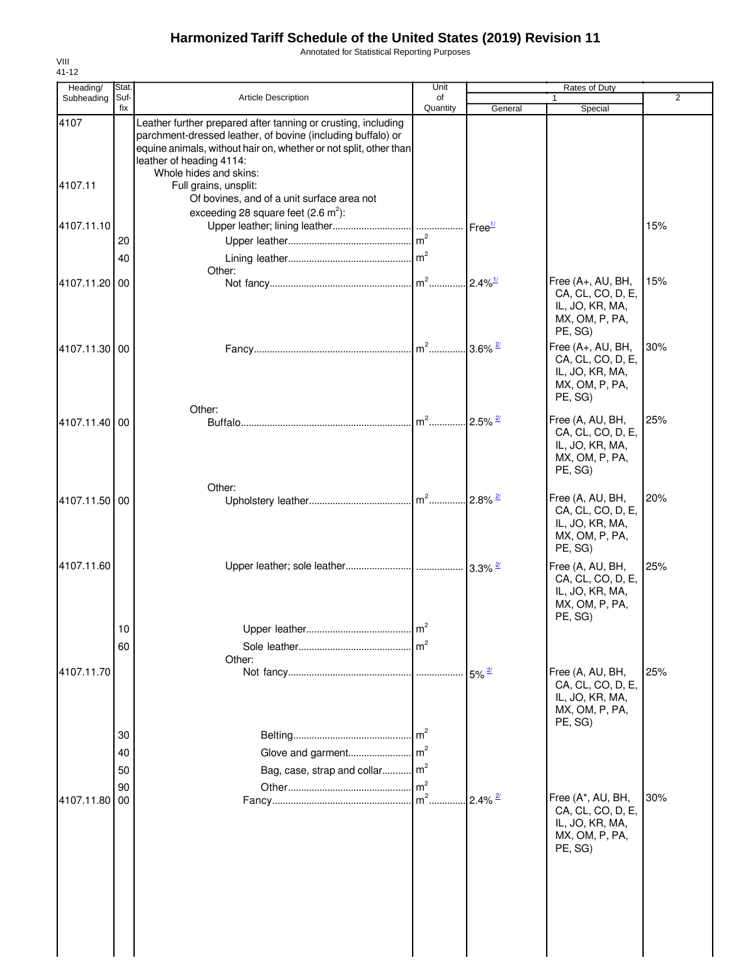Annotated for Statistical Reporting Purposes

| Heading/      | Stat.                |                                                                                                                                                                                                                                                         | Unit                              |                          | Rates of Duty                                                                          |                |
|---------------|----------------------|---------------------------------------------------------------------------------------------------------------------------------------------------------------------------------------------------------------------------------------------------------|-----------------------------------|--------------------------|----------------------------------------------------------------------------------------|----------------|
| Subheading    | Suf-<br>fix          | Article Description                                                                                                                                                                                                                                     | of<br>Quantity                    | General                  | Special                                                                                | $\overline{2}$ |
| 4107          |                      | Leather further prepared after tanning or crusting, including<br>parchment-dressed leather, of bovine (including buffalo) or<br>equine animals, without hair on, whether or not split, other than<br>leather of heading 4114:<br>Whole hides and skins: |                                   |                          |                                                                                        |                |
| 4107.11       |                      | Full grains, unsplit:<br>Of bovines, and of a unit surface area not<br>exceeding 28 square feet $(2.6 \text{ m}^2)$ :                                                                                                                                   |                                   |                          |                                                                                        |                |
| 4107.11.10    | 20                   |                                                                                                                                                                                                                                                         |                                   | Free <sup>1/</sup>       |                                                                                        | 15%            |
|               | 40                   | Other:                                                                                                                                                                                                                                                  |                                   |                          |                                                                                        |                |
| 4107.11.20 00 |                      |                                                                                                                                                                                                                                                         |                                   | $.12.4\%$ <sup>1/</sup>  | Free (A+, AU, BH,<br>CA, CL, CO, D, E,<br>IL, JO, KR, MA,<br>MX, OM, P, PA,<br>PE, SG) | 15%            |
| 4107.11.30 00 |                      |                                                                                                                                                                                                                                                         |                                   | $.13.6\%$ $\frac{27}{1}$ | Free (A+, AU, BH,<br>CA, CL, CO, D, E,<br>IL, JO, KR, MA,<br>MX, OM, P, PA,<br>PE, SG) | 30%            |
| 4107.11.40 00 |                      | Other:                                                                                                                                                                                                                                                  | $m2$                              | $2.5\%$ <sup>2/</sup>    | Free (A, AU, BH,<br>CA, CL, CO, D, E,<br>IL, JO, KR, MA,<br>MX, OM, P, PA,<br>PE, SG)  | 25%            |
| 4107.11.50 00 |                      | Other:                                                                                                                                                                                                                                                  |                                   |                          | Free (A, AU, BH,<br>CA, CL, CO, D, E,<br>IL, JO, KR, MA,<br>MX, OM, P, PA,<br>PE, SG)  | 20%            |
| 4107.11.60    |                      |                                                                                                                                                                                                                                                         |                                   |                          | Free (A, AU, BH,<br>CA, CL, CO, D, E,<br>IL, JO, KR, MA,<br>MX, OM, P, PA,<br>PE, SG)  | 25%            |
|               | 10<br>60             |                                                                                                                                                                                                                                                         | $\mathsf{Im}^2$<br>$\mathsf{m}^2$ |                          |                                                                                        |                |
| 4107.11.70    |                      | Other:                                                                                                                                                                                                                                                  |                                   |                          | Free (A, AU, BH,<br>CA, CL, CO, D, E,<br>IL, JO, KR, MA,<br>MX, OM, P, PA,<br>PE, SG)  | 25%            |
|               | 30<br>40<br>50<br>90 | Bag, case, strap and collar m <sup>2</sup>                                                                                                                                                                                                              | $\mathsf{Im}^2$                   |                          |                                                                                        |                |
| 4107.11.80    | 00                   |                                                                                                                                                                                                                                                         | $m2$ .                            | $.2.4\%$ <sup>2/</sup>   | Free (A*, AU, BH,<br>CA, CL, CO, D, E,<br>IL, JO, KR, MA,<br>MX, OM, P, PA,<br>PE, SG) | 30%            |
|               |                      |                                                                                                                                                                                                                                                         |                                   |                          |                                                                                        |                |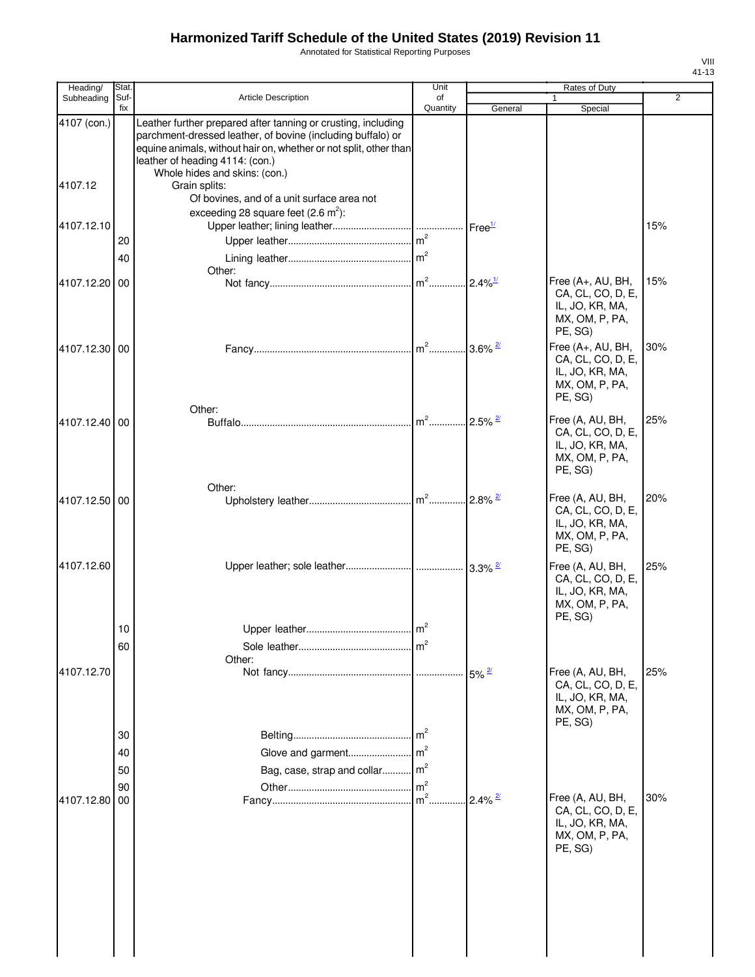Annotated for Statistical Reporting Purposes

| Heading/               | Stat.                |                                                                                                                                                                                                                                                                                        | Unit           |                       | Rates of Duty                                                                          |                |
|------------------------|----------------------|----------------------------------------------------------------------------------------------------------------------------------------------------------------------------------------------------------------------------------------------------------------------------------------|----------------|-----------------------|----------------------------------------------------------------------------------------|----------------|
| Subheading             | Suf-<br>fix          | <b>Article Description</b>                                                                                                                                                                                                                                                             | of<br>Quantity | General               | $\mathbf{1}$<br>Special                                                                | $\overline{2}$ |
| 4107 (con.)<br>4107.12 |                      | Leather further prepared after tanning or crusting, including<br>parchment-dressed leather, of bovine (including buffalo) or<br>equine animals, without hair on, whether or not split, other than<br>leather of heading 4114: (con.)<br>Whole hides and skins: (con.)<br>Grain splits: |                |                       |                                                                                        |                |
|                        |                      | Of bovines, and of a unit surface area not<br>exceeding 28 square feet $(2.6 \text{ m}^2)$ :                                                                                                                                                                                           |                |                       |                                                                                        |                |
| 4107.12.10             |                      |                                                                                                                                                                                                                                                                                        |                | Free <sup>1/</sup>    |                                                                                        | 15%            |
|                        | 20                   |                                                                                                                                                                                                                                                                                        |                |                       |                                                                                        |                |
|                        | 40                   | Other:                                                                                                                                                                                                                                                                                 |                |                       |                                                                                        |                |
| 4107.12.20             | 00                   |                                                                                                                                                                                                                                                                                        |                | $2.4\%$ <sup>1/</sup> | Free (A+, AU, BH,<br>CA, CL, CO, D, E,<br>IL, JO, KR, MA,<br>MX, OM, P, PA,<br>PE, SG) | 15%            |
| 4107.12.30             | 00                   |                                                                                                                                                                                                                                                                                        |                | $3.6\%$ <sup>2/</sup> | Free (A+, AU, BH,<br>CA, CL, CO, D, E,<br>IL, JO, KR, MA,<br>MX, OM, P, PA,<br>PE, SG) | 30%            |
| 4107.12.40 00          |                      | Other:                                                                                                                                                                                                                                                                                 |                | $2.5\%$ <sup>2/</sup> | Free (A, AU, BH,<br>CA, CL, CO, D, E,<br>IL, JO, KR, MA,<br>MX, OM, P, PA,<br>PE, SG)  | 25%            |
| 4107.12.50 00          |                      | Other:                                                                                                                                                                                                                                                                                 |                | $2.8\%$ <sup>2/</sup> | Free (A, AU, BH,<br>CA, CL, CO, D, E,<br>IL, JO, KR, MA,<br>MX, OM, P, PA,<br>PE, SG)  | 20%            |
| 4107.12.60             |                      |                                                                                                                                                                                                                                                                                        |                |                       | Free (A, AU, BH,<br>CA, CL, CO, D, E,<br>IL, JO, KR, MA,<br>MX, OM, P, PA,<br>PE, SG)  | 25%            |
|                        | 10                   |                                                                                                                                                                                                                                                                                        | m <sup>2</sup> |                       |                                                                                        |                |
|                        | 60                   |                                                                                                                                                                                                                                                                                        |                |                       |                                                                                        |                |
| 4107.12.70             |                      | Other:                                                                                                                                                                                                                                                                                 |                | $5\%$ <sup>2/</sup>   | Free (A, AU, BH,<br>CA, CL, CO, D, E,<br>IL, JO, KR, MA,<br>MX, OM, P, PA,<br>PE, SG)  | 25%            |
|                        | 30<br>40<br>50<br>90 | Glove and garment<br>Bag, case, strap and collar m <sup>2</sup>                                                                                                                                                                                                                        | m <sup>2</sup> |                       |                                                                                        |                |
| 4107.12.80             | 00                   |                                                                                                                                                                                                                                                                                        |                | $2.4\%$ <sup>2/</sup> | Free (A, AU, BH,<br>CA, CL, CO, D, E,<br>IL, JO, KR, MA,<br>MX, OM, P, PA,<br>PE, SG)  | 30%            |
|                        |                      |                                                                                                                                                                                                                                                                                        |                |                       |                                                                                        |                |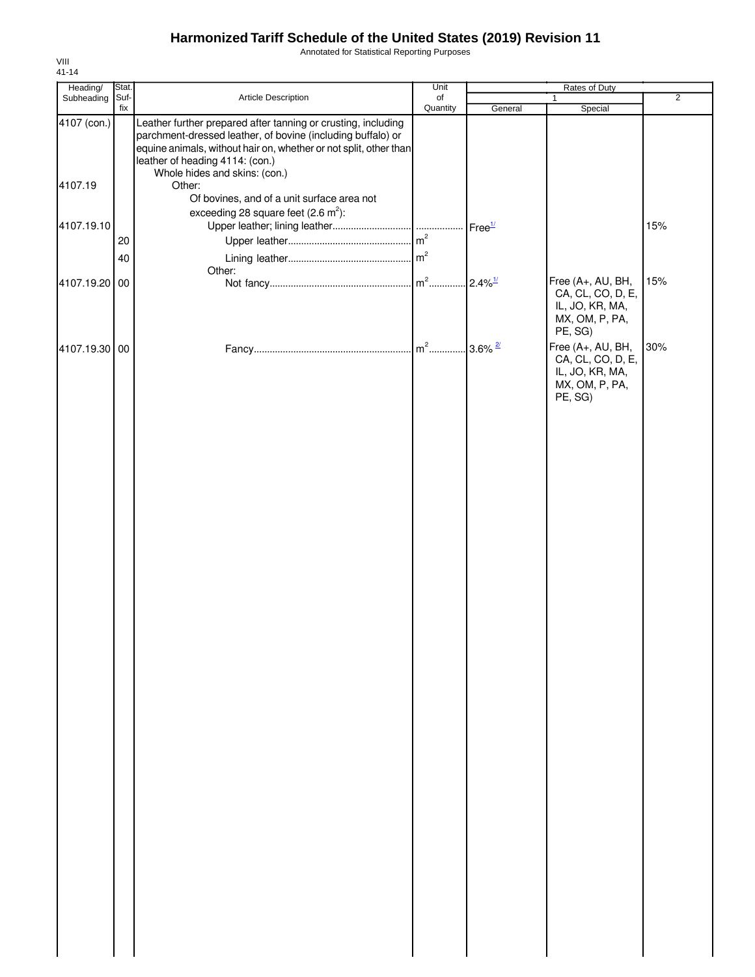Annotated for Statistical Reporting Purposes

| Heading/      | Stat.    |                                                                                                                                                                                                                                      | Unit     | Rates of Duty      |                                                                                                   |                |
|---------------|----------|--------------------------------------------------------------------------------------------------------------------------------------------------------------------------------------------------------------------------------------|----------|--------------------|---------------------------------------------------------------------------------------------------|----------------|
| Subheading    | Suf-     | Article Description                                                                                                                                                                                                                  | of       |                    | $\mathbf{1}$                                                                                      | $\overline{2}$ |
| 4107 (con.)   | fix      | Leather further prepared after tanning or crusting, including<br>parchment-dressed leather, of bovine (including buffalo) or<br>equine animals, without hair on, whether or not split, other than<br>leather of heading 4114: (con.) | Quantity | General            | Special                                                                                           |                |
| 4107.19       |          | Whole hides and skins: (con.)<br>Other:<br>Of bovines, and of a unit surface area not                                                                                                                                                |          |                    |                                                                                                   |                |
| 4107.19.10    |          | exceeding 28 square feet $(2.6 \text{ m}^2)$ :                                                                                                                                                                                       |          | Free <sup>1/</sup> |                                                                                                   | 15%            |
|               | 20<br>40 |                                                                                                                                                                                                                                      |          |                    |                                                                                                   |                |
| 4107.19.20 00 |          | Other:                                                                                                                                                                                                                               |          |                    | Free (A+, AU, BH,<br>CA, CL, CO, D, E,<br>IL, JO, KR, MA,<br>MX, OM, P, PA,                       | 15%            |
| 4107.19.30 00 |          |                                                                                                                                                                                                                                      |          |                    | PE, SG)<br>Free (A+, AU, BH,<br>CA, CL, CO, D, E,<br>IL, JO, KR, MA,<br>MX, OM, P, PA,<br>PE, SG) | 30%            |
|               |          |                                                                                                                                                                                                                                      |          |                    |                                                                                                   |                |
|               |          |                                                                                                                                                                                                                                      |          |                    |                                                                                                   |                |
|               |          |                                                                                                                                                                                                                                      |          |                    |                                                                                                   |                |
|               |          |                                                                                                                                                                                                                                      |          |                    |                                                                                                   |                |
|               |          |                                                                                                                                                                                                                                      |          |                    |                                                                                                   |                |
|               |          |                                                                                                                                                                                                                                      |          |                    |                                                                                                   |                |
|               |          |                                                                                                                                                                                                                                      |          |                    |                                                                                                   |                |
|               |          |                                                                                                                                                                                                                                      |          |                    |                                                                                                   |                |
|               |          |                                                                                                                                                                                                                                      |          |                    |                                                                                                   |                |
|               |          |                                                                                                                                                                                                                                      |          |                    |                                                                                                   |                |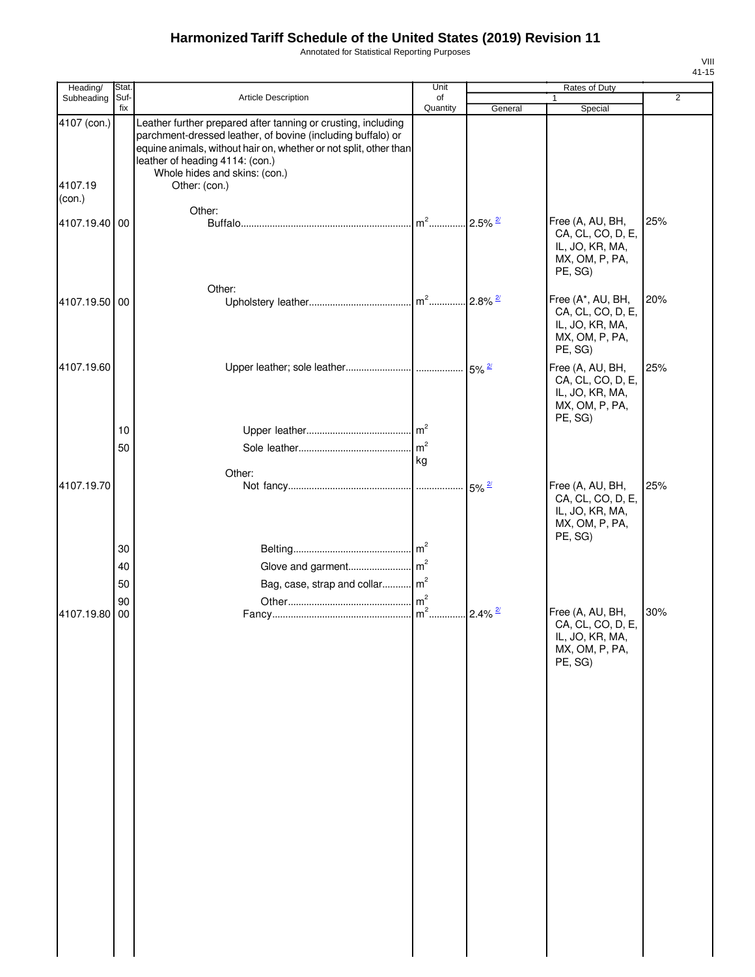Annotated for Statistical Reporting Purposes

| Heading/                         | Stat.       |                                                                                                                                                                                                                                                                                        | Unit           | Rates of Duty         |                                                                                        |                |
|----------------------------------|-------------|----------------------------------------------------------------------------------------------------------------------------------------------------------------------------------------------------------------------------------------------------------------------------------------|----------------|-----------------------|----------------------------------------------------------------------------------------|----------------|
| Subheading                       | Suf-<br>fix | Article Description                                                                                                                                                                                                                                                                    | of<br>Quantity | General               | 1<br>Special                                                                           | $\overline{2}$ |
| 4107 (con.)<br>4107.19<br>(con.) |             | Leather further prepared after tanning or crusting, including<br>parchment-dressed leather, of bovine (including buffalo) or<br>equine animals, without hair on, whether or not split, other than<br>leather of heading 4114: (con.)<br>Whole hides and skins: (con.)<br>Other: (con.) |                |                       |                                                                                        |                |
|                                  |             | Other:                                                                                                                                                                                                                                                                                 |                |                       |                                                                                        |                |
| 4107.19.40 00                    |             |                                                                                                                                                                                                                                                                                        | $m2$           | $2.5\%$ $\frac{2}{1}$ | Free (A, AU, BH,<br>CA, CL, CO, D, E,<br>IL, JO, KR, MA,<br>MX, OM, P, PA,<br>PE, SG)  | 25%            |
|                                  |             | Other:                                                                                                                                                                                                                                                                                 |                |                       |                                                                                        |                |
| 4107.19.50 00                    |             |                                                                                                                                                                                                                                                                                        |                | $2.8\%$ <sup>2/</sup> | Free (A*, AU, BH,<br>CA, CL, CO, D, E,<br>IL, JO, KR, MA,<br>MX, OM, P, PA,<br>PE, SG) | 20%            |
| 4107.19.60                       |             |                                                                                                                                                                                                                                                                                        |                |                       | Free (A, AU, BH,<br>CA, CL, CO, D, E,<br>IL, JO, KR, MA,                               | 25%            |
|                                  |             |                                                                                                                                                                                                                                                                                        |                |                       | MX, OM, P, PA,<br>PE, SG)                                                              |                |
|                                  | 10          |                                                                                                                                                                                                                                                                                        |                |                       |                                                                                        |                |
|                                  | 50          |                                                                                                                                                                                                                                                                                        | m <sup>2</sup> |                       |                                                                                        |                |
|                                  |             | Other:                                                                                                                                                                                                                                                                                 | kg             |                       |                                                                                        |                |
| 4107.19.70                       |             |                                                                                                                                                                                                                                                                                        |                | $5\%$ <sup>2/</sup>   | Free (A, AU, BH,<br>CA, CL, CO, D, E,<br>IL, JO, KR, MA,<br>MX, OM, P, PA,<br>PE, SG)  | 25%            |
|                                  | 30          |                                                                                                                                                                                                                                                                                        |                |                       |                                                                                        |                |
|                                  | 40          |                                                                                                                                                                                                                                                                                        |                |                       |                                                                                        |                |
|                                  | 50          | Bag, case, strap and collar m <sup>2</sup>                                                                                                                                                                                                                                             |                |                       |                                                                                        |                |
|                                  | 90          |                                                                                                                                                                                                                                                                                        |                |                       |                                                                                        |                |
| 4107.19.80                       | 00          |                                                                                                                                                                                                                                                                                        |                | $2.4\%$ <sup>2/</sup> | Free (A, AU, BH,<br>CA, CL, CO, D, E,<br>IL, JO, KR, MA,<br>MX, OM, P, PA,<br>PE, SG)  | 30%            |
|                                  |             |                                                                                                                                                                                                                                                                                        |                |                       |                                                                                        |                |
|                                  |             |                                                                                                                                                                                                                                                                                        |                |                       |                                                                                        |                |
|                                  |             |                                                                                                                                                                                                                                                                                        |                |                       |                                                                                        |                |
|                                  |             |                                                                                                                                                                                                                                                                                        |                |                       |                                                                                        |                |
|                                  |             |                                                                                                                                                                                                                                                                                        |                |                       |                                                                                        |                |
|                                  |             |                                                                                                                                                                                                                                                                                        |                |                       |                                                                                        |                |
|                                  |             |                                                                                                                                                                                                                                                                                        |                |                       |                                                                                        |                |
|                                  |             |                                                                                                                                                                                                                                                                                        |                |                       |                                                                                        |                |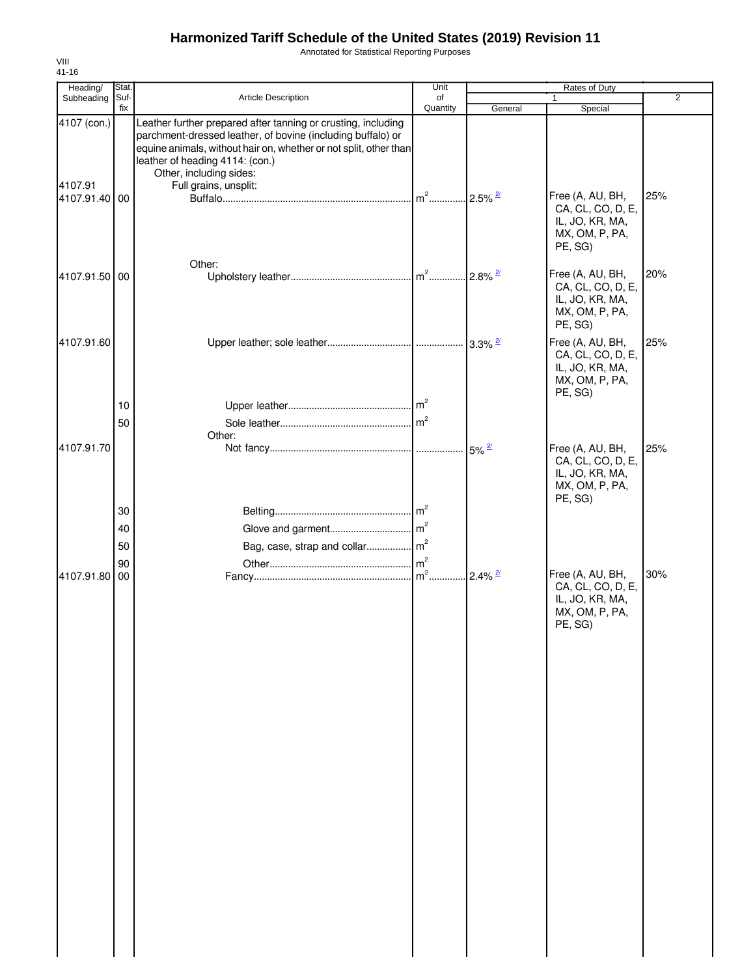Annotated for Statistical Reporting Purposes

| Heading/               | Stat.       |                                                                                                                                                                                                                                                                                          | Unit           |                       | Rates of Duty                                                                         |                |
|------------------------|-------------|------------------------------------------------------------------------------------------------------------------------------------------------------------------------------------------------------------------------------------------------------------------------------------------|----------------|-----------------------|---------------------------------------------------------------------------------------|----------------|
| Subheading             | Suf-<br>fix | Article Description                                                                                                                                                                                                                                                                      | of<br>Quantity | General               | 1<br>Special                                                                          | $\overline{2}$ |
| 4107 (con.)<br>4107.91 |             | Leather further prepared after tanning or crusting, including<br>parchment-dressed leather, of bovine (including buffalo) or<br>equine animals, without hair on, whether or not split, other than<br>leather of heading 4114: (con.)<br>Other, including sides:<br>Full grains, unsplit: |                |                       |                                                                                       |                |
| 4107.91.40 00          |             | Other:                                                                                                                                                                                                                                                                                   | $m2$           | $2.5\%$ <sup>2/</sup> | Free (A, AU, BH,<br>CA, CL, CO, D, E,<br>IL, JO, KR, MA,<br>MX, OM, P, PA,<br>PE, SG) | 25%            |
| 4107.91.50 00          |             |                                                                                                                                                                                                                                                                                          |                |                       | Free (A, AU, BH,<br>CA, CL, CO, D, E,<br>IL, JO, KR, MA,<br>MX, OM, P, PA,<br>PE, SG) | 20%            |
| 4107.91.60             | 10          |                                                                                                                                                                                                                                                                                          |                |                       | Free (A, AU, BH,<br>CA, CL, CO, D, E,<br>IL, JO, KR, MA,<br>MX, OM, P, PA,<br>PE, SG) | 25%            |
|                        | 50          |                                                                                                                                                                                                                                                                                          |                |                       |                                                                                       |                |
| 4107.91.70             |             | Other:                                                                                                                                                                                                                                                                                   |                | $.5\%$ <sup>2/</sup>  | Free (A, AU, BH,<br>CA, CL, CO, D, E,<br>IL, JO, KR, MA,<br>MX, OM, P, PA,<br>PE, SG) | 25%            |
|                        | 30          |                                                                                                                                                                                                                                                                                          |                |                       |                                                                                       |                |
|                        | 40          |                                                                                                                                                                                                                                                                                          |                |                       |                                                                                       |                |
|                        | 50          |                                                                                                                                                                                                                                                                                          |                |                       |                                                                                       |                |
| 4107.91.80             | 90<br>00    |                                                                                                                                                                                                                                                                                          |                | $2.4\%$ <sup>2/</sup> | Free (A, AU, BH,<br>CA, CL, CO, D, E,<br>IL, JO, KR, MA,<br>MX, OM, P, PA,<br>PE, SG) | 30%            |
|                        |             |                                                                                                                                                                                                                                                                                          |                |                       |                                                                                       |                |
|                        |             |                                                                                                                                                                                                                                                                                          |                |                       |                                                                                       |                |
|                        |             |                                                                                                                                                                                                                                                                                          |                |                       |                                                                                       |                |
|                        |             |                                                                                                                                                                                                                                                                                          |                |                       |                                                                                       |                |
|                        |             |                                                                                                                                                                                                                                                                                          |                |                       |                                                                                       |                |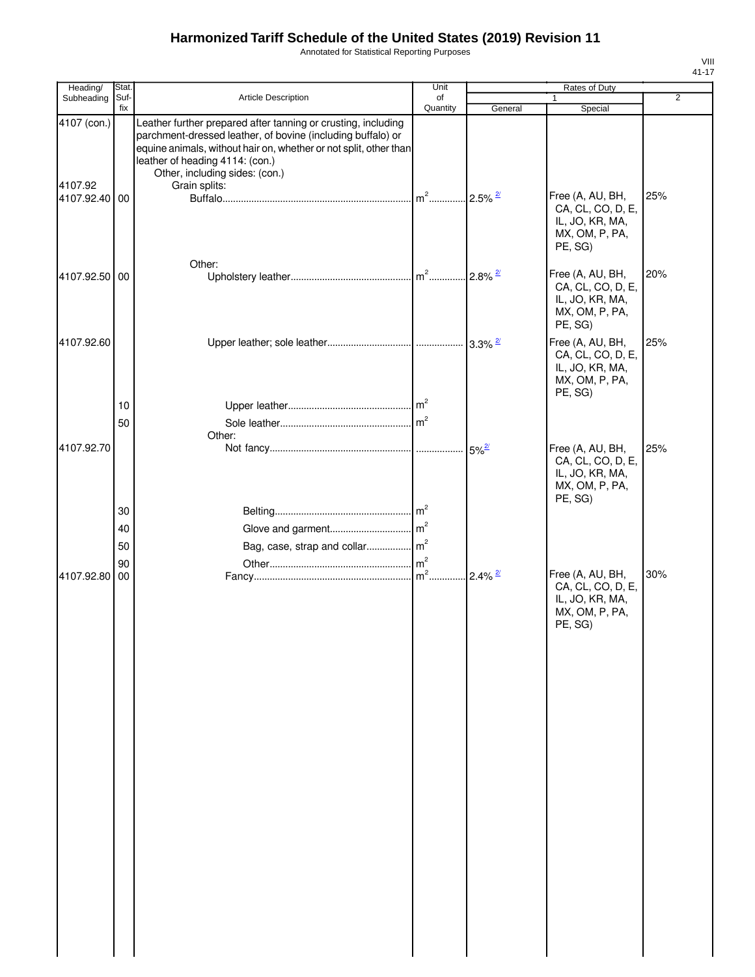Annotated for Statistical Reporting Purposes

| Suf-<br><b>Article Description</b><br>Subheading<br>of<br>Quantity<br>fix<br>General<br>4107 (con.)<br>Leather further prepared after tanning or crusting, including                                  | $\mathbf{1}$<br>Special                                                               | $\overline{2}$ |
|-------------------------------------------------------------------------------------------------------------------------------------------------------------------------------------------------------|---------------------------------------------------------------------------------------|----------------|
|                                                                                                                                                                                                       |                                                                                       |                |
| parchment-dressed leather, of bovine (including buffalo) or<br>equine animals, without hair on, whether or not split, other than<br>leather of heading 4114: (con.)<br>Other, including sides: (con.) |                                                                                       |                |
| 4107.92<br>Grain splits:<br>$m^2$<br>$2.5\%$ <sup>2/</sup><br>4107.92.40 00                                                                                                                           | Free (A, AU, BH,<br>CA, CL, CO, D, E,<br>IL, JO, KR, MA,<br>MX, OM, P, PA,<br>PE, SG) | 25%            |
| Other:<br>4107.92.50 00                                                                                                                                                                               | Free (A, AU, BH,<br>CA, CL, CO, D, E,<br>IL, JO, KR, MA,<br>MX, OM, P, PA,<br>PE, SG) | 20%            |
| 4107.92.60                                                                                                                                                                                            | Free (A, AU, BH,<br>CA, CL, CO, D, E,<br>IL, JO, KR, MA,<br>MX, OM, P, PA,<br>PE, SG) | 25%            |
| 10<br>50<br>Other:                                                                                                                                                                                    |                                                                                       |                |
| 4107.92.70                                                                                                                                                                                            | Free (A, AU, BH,<br>CA, CL, CO, D, E,<br>IL, JO, KR, MA,<br>MX, OM, P, PA,<br>PE, SG) | 25%            |
| 30                                                                                                                                                                                                    |                                                                                       |                |
| 40                                                                                                                                                                                                    |                                                                                       |                |
| 50                                                                                                                                                                                                    |                                                                                       |                |
| m <sup>2</sup><br>90                                                                                                                                                                                  |                                                                                       |                |
| $2.4\%$ <sup>2/</sup><br>4107.92.80 00                                                                                                                                                                | Free (A, AU, BH,<br>CA, CL, CO, D, E,<br>IL, JO, KR, MA,<br>MX, OM, P, PA,<br>PE, SG) | 30%            |
|                                                                                                                                                                                                       |                                                                                       |                |
|                                                                                                                                                                                                       |                                                                                       |                |
|                                                                                                                                                                                                       |                                                                                       |                |
|                                                                                                                                                                                                       |                                                                                       |                |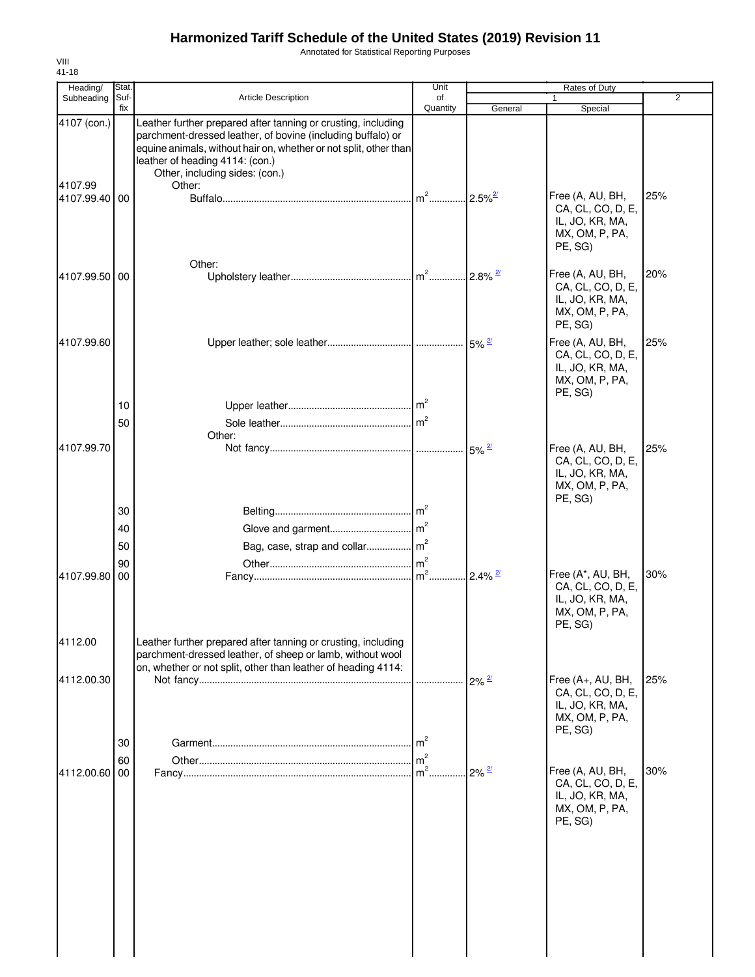Annotated for Statistical Reporting Purposes

| Heading/               | Stat           |                                                                                                                                                                                                                                                                                  | Unit                               |                          | Rates of Duty                                                                          |                |
|------------------------|----------------|----------------------------------------------------------------------------------------------------------------------------------------------------------------------------------------------------------------------------------------------------------------------------------|------------------------------------|--------------------------|----------------------------------------------------------------------------------------|----------------|
| Subheading             | Suf-<br>fix    | <b>Article Description</b>                                                                                                                                                                                                                                                       | of<br>Quantity                     | General                  | 1<br>Special                                                                           | $\overline{2}$ |
| 4107 (con.)<br>4107.99 |                | Leather further prepared after tanning or crusting, including<br>parchment-dressed leather, of bovine (including buffalo) or<br>equine animals, without hair on, whether or not split, other than<br>leather of heading 4114: (con.)<br>Other, including sides: (con.)<br>Other: |                                    |                          |                                                                                        |                |
| 4107.99.40             | 00             | Other:                                                                                                                                                                                                                                                                           | $m2$                               | $2.5\%$ <sup>2/</sup>    | Free (A, AU, BH,<br>CA, CL, CO, D, E,<br>IL, JO, KR, MA,<br>MX, OM, P, PA,<br>PE, SG)  | 25%            |
| 4107.99.50             | 00             |                                                                                                                                                                                                                                                                                  |                                    |                          | Free (A, AU, BH,<br>CA, CL, CO, D, E,<br>IL, JO, KR, MA,<br>MX, OM, P, PA,<br>PE, SG)  | 20%            |
| 4107.99.60             | 10             |                                                                                                                                                                                                                                                                                  |                                    |                          | Free (A, AU, BH,<br>CA, CL, CO, D, E,<br>IL, JO, KR, MA,<br>MX, OM, P, PA,<br>PE, SG)  | 25%            |
|                        | 50             | Other:                                                                                                                                                                                                                                                                           |                                    |                          |                                                                                        |                |
| 4107.99.70             |                |                                                                                                                                                                                                                                                                                  |                                    | $\cdot$ 5% $\frac{2}{3}$ | Free (A, AU, BH,<br>CA, CL, CO, D, E,<br>IL, JO, KR, MA,<br>MX, OM, P, PA,<br>PE, SG)  | 25%            |
|                        | 30             |                                                                                                                                                                                                                                                                                  |                                    |                          |                                                                                        |                |
|                        | 40             |                                                                                                                                                                                                                                                                                  |                                    |                          |                                                                                        |                |
|                        | 50             | Bag, case, strap and collar m <sup>2</sup>                                                                                                                                                                                                                                       |                                    |                          |                                                                                        |                |
|                        | 90             |                                                                                                                                                                                                                                                                                  | $\mathsf{Im}^2$                    |                          |                                                                                        |                |
| 4107.99.80             | 00             |                                                                                                                                                                                                                                                                                  |                                    | $2.4\%$ <sup>2/</sup>    | Free (A*, AU, BH,<br>CA, CL, CO, D, E,<br>IL, JO, KR, MA,<br>MX, OM, P, PA,<br>PE, SG) | 30%            |
| 4112.00                |                | Leather further prepared after tanning or crusting, including<br>parchment-dressed leather, of sheep or lamb, without wool<br>on, whether or not split, other than leather of heading 4114:                                                                                      |                                    |                          |                                                                                        |                |
| 4112.00.30             |                |                                                                                                                                                                                                                                                                                  |                                    | $2\%$ $\frac{2}{3}$      | Free (A+, AU, BH,<br>CA, CL, CO, D, E,<br>IL, JO, KR, MA,<br>MX, OM, P, PA,<br>PE, SG) | 25%            |
| 4112.00.60             | 30<br>60<br>00 |                                                                                                                                                                                                                                                                                  | $\mathsf{Im}^2$<br>$\mathsf{Im}^2$ | $2\%$ $\frac{2}{3}$      | Free (A, AU, BH,                                                                       | 30%            |
|                        |                |                                                                                                                                                                                                                                                                                  |                                    |                          | CA, CL, CO, D, E,<br>IL, JO, KR, MA,<br>MX, OM, P, PA,<br>PE, SG)                      |                |
|                        |                |                                                                                                                                                                                                                                                                                  |                                    |                          |                                                                                        |                |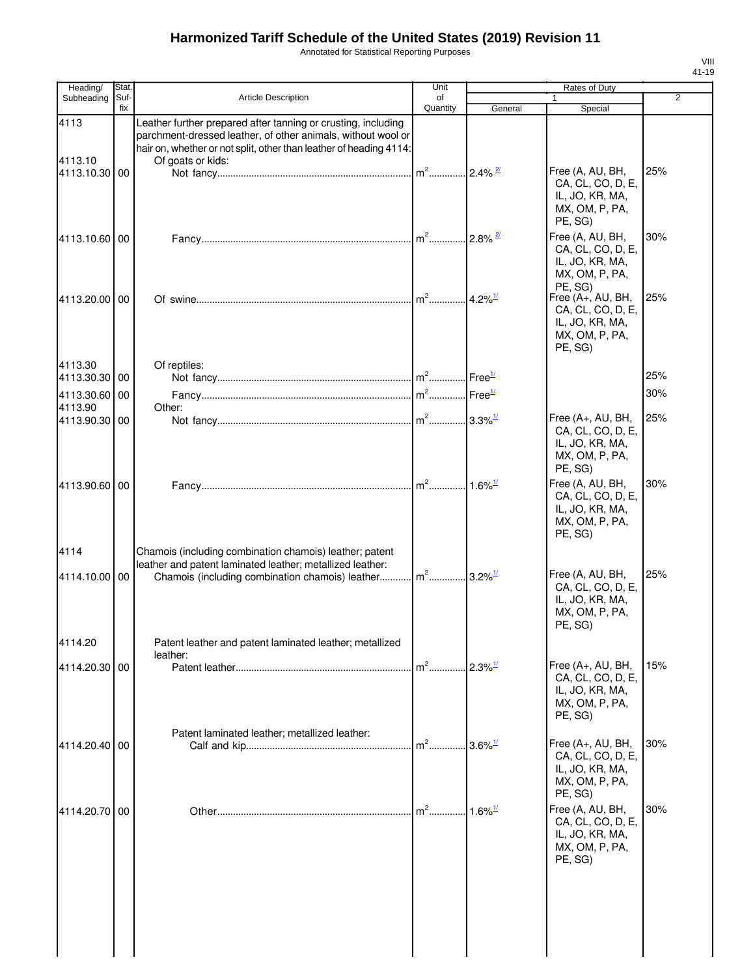Annotated for Statistical Reporting Purposes

| Heading/                 | Stat.       |                                                                                                                                                                                                                          | Unit                                       |                        | Rates of Duty                                                                          |     |
|--------------------------|-------------|--------------------------------------------------------------------------------------------------------------------------------------------------------------------------------------------------------------------------|--------------------------------------------|------------------------|----------------------------------------------------------------------------------------|-----|
| Subheading               | Suf-<br>fix | Article Description                                                                                                                                                                                                      | of<br>Quantity                             | General                | $\mathbf{1}$<br>Special                                                                | 2   |
| 4113<br>4113.10          |             | Leather further prepared after tanning or crusting, including<br>parchment-dressed leather, of other animals, without wool or<br>hair on, whether or not split, other than leather of heading 4114:<br>Of goats or kids: |                                            |                        |                                                                                        |     |
| 4113.10.30 00            |             |                                                                                                                                                                                                                          | $m2$                                       | $2.4\%$ <sup>2/</sup>  | Free (A, AU, BH,<br>CA, CL, CO, D, E,<br>IL, JO, KR, MA,<br>MX, OM, P, PA,<br>PE, SG)  | 25% |
| 4113.10.60 00            |             |                                                                                                                                                                                                                          | $m2$                                       | $.2.8\%$ <sup>2/</sup> | Free (A, AU, BH,<br>CA, CL, CO, D, E,<br>IL, JO, KR, MA,<br>MX, OM, P, PA,<br>PE, SG)  | 30% |
| 4113.20.00 00            |             |                                                                                                                                                                                                                          | $m^2$                                      | $14.2\%$ <sup>1/</sup> | Free (A+, AU, BH,<br>CA, CL, CO, D, E,<br>IL, JO, KR, MA,<br>MX, OM, P, PA,<br>PE, SG) | 25% |
| 4113.30<br>4113.30.30 00 |             | Of reptiles:                                                                                                                                                                                                             | $m2$                                       | Free <sup>1/</sup>     |                                                                                        | 25% |
| 4113.30.60 00            |             |                                                                                                                                                                                                                          | $\mathsf{m}^2$ $\ldots$ Free <sup>1/</sup> |                        |                                                                                        | 30% |
| 4113.90                  |             | Other:                                                                                                                                                                                                                   |                                            |                        |                                                                                        |     |
| 4113.90.30 00            |             |                                                                                                                                                                                                                          | $m2$                                       | $.3.3\%$ <sup>1/</sup> | Free (A+, AU, BH,<br>CA, CL, CO, D, E,<br>IL, JO, KR, MA,<br>MX, OM, P, PA,<br>PE, SG) | 25% |
| 4113.90.60 00            |             |                                                                                                                                                                                                                          |                                            |                        | Free (A, AU, BH,<br>CA, CL, CO, D, E,<br>IL, JO, KR, MA,<br>MX, OM, P, PA,<br>PE, SG)  | 30% |
| 4114                     |             | Chamois (including combination chamois) leather; patent<br>leather and patent laminated leather; metallized leather:                                                                                                     |                                            |                        | Free (A, AU, BH,                                                                       | 25% |
| 4114.10.00 00            |             | Chamois (including combination chamois) leather m <sup>2</sup> 3.2% <sup>1/</sup>                                                                                                                                        |                                            |                        | CA, CL, CO, D, E,<br>IL, JO, KR, MA,<br>MX, OM, P, PA,<br>PE, SG)                      |     |
| 4114.20                  |             | Patent leather and patent laminated leather; metallized<br>leather:                                                                                                                                                      |                                            |                        |                                                                                        |     |
| 4114.20.30 00            |             |                                                                                                                                                                                                                          | $m2$                                       | $2.3\%$ <sup>1/</sup>  | Free (A+, AU, BH,<br>CA, CL, CO, D, E,<br>IL, JO, KR, MA,<br>MX, OM, P, PA,<br>PE, SG) | 15% |
| 4114.20.40 00            |             | Patent laminated leather; metallized leather:                                                                                                                                                                            | $m2$                                       | $3.6\%$ <sup>1/</sup>  | Free (A+, AU, BH,<br>CA, CL, CO, D, E,<br>IL, JO, KR, MA,<br>MX, OM, P, PA,<br>PE, SG) | 30% |
| 4114.20.70               | 00          |                                                                                                                                                                                                                          | $m2$                                       | $1.6\%$ <sup>1/</sup>  | Free (A, AU, BH,<br>CA, CL, CO, D, E,<br>IL, JO, KR, MA,<br>MX, OM, P, PA,<br>PE, SG)  | 30% |
|                          |             |                                                                                                                                                                                                                          |                                            |                        |                                                                                        |     |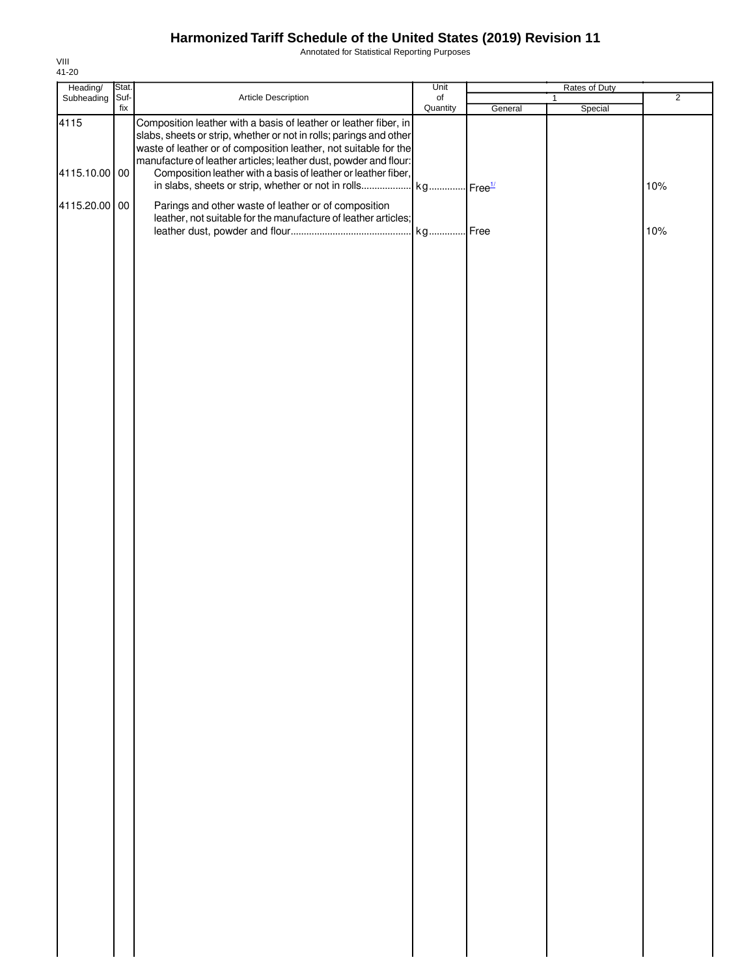Annotated for Statistical Reporting Purposes

| Heading/        | Stat. |                                                                                                                                                                                                                                                                                | Unit      | Rates of Duty |              |                |
|-----------------|-------|--------------------------------------------------------------------------------------------------------------------------------------------------------------------------------------------------------------------------------------------------------------------------------|-----------|---------------|--------------|----------------|
| Subheading Suf- |       | Article Description                                                                                                                                                                                                                                                            | $\circ$ f |               | $\mathbf{1}$ | $\overline{2}$ |
| 4115            | fix   | Composition leather with a basis of leather or leather fiber, in<br>slabs, sheets or strip, whether or not in rolls; parings and other<br>waste of leather or of composition leather, not suitable for the<br>manufacture of leather articles; leather dust, powder and flour: | Quantity  | General       | Special      |                |
| 4115.10.00 00   |       | Composition leather with a basis of leather or leather fiber,                                                                                                                                                                                                                  |           |               |              | 10%            |
| 4115.20.00 00   |       | Parings and other waste of leather or of composition<br>leather, not suitable for the manufacture of leather articles;                                                                                                                                                         |           |               |              | 10%            |
|                 |       |                                                                                                                                                                                                                                                                                |           |               |              |                |
|                 |       |                                                                                                                                                                                                                                                                                |           |               |              |                |
|                 |       |                                                                                                                                                                                                                                                                                |           |               |              |                |
|                 |       |                                                                                                                                                                                                                                                                                |           |               |              |                |
|                 |       |                                                                                                                                                                                                                                                                                |           |               |              |                |
|                 |       |                                                                                                                                                                                                                                                                                |           |               |              |                |
|                 |       |                                                                                                                                                                                                                                                                                |           |               |              |                |
|                 |       |                                                                                                                                                                                                                                                                                |           |               |              |                |
|                 |       |                                                                                                                                                                                                                                                                                |           |               |              |                |
|                 |       |                                                                                                                                                                                                                                                                                |           |               |              |                |
|                 |       |                                                                                                                                                                                                                                                                                |           |               |              |                |
|                 |       |                                                                                                                                                                                                                                                                                |           |               |              |                |
|                 |       |                                                                                                                                                                                                                                                                                |           |               |              |                |
|                 |       |                                                                                                                                                                                                                                                                                |           |               |              |                |
|                 |       |                                                                                                                                                                                                                                                                                |           |               |              |                |
|                 |       |                                                                                                                                                                                                                                                                                |           |               |              |                |
|                 |       |                                                                                                                                                                                                                                                                                |           |               |              |                |
|                 |       |                                                                                                                                                                                                                                                                                |           |               |              |                |
|                 |       |                                                                                                                                                                                                                                                                                |           |               |              |                |
|                 |       |                                                                                                                                                                                                                                                                                |           |               |              |                |
|                 |       |                                                                                                                                                                                                                                                                                |           |               |              |                |